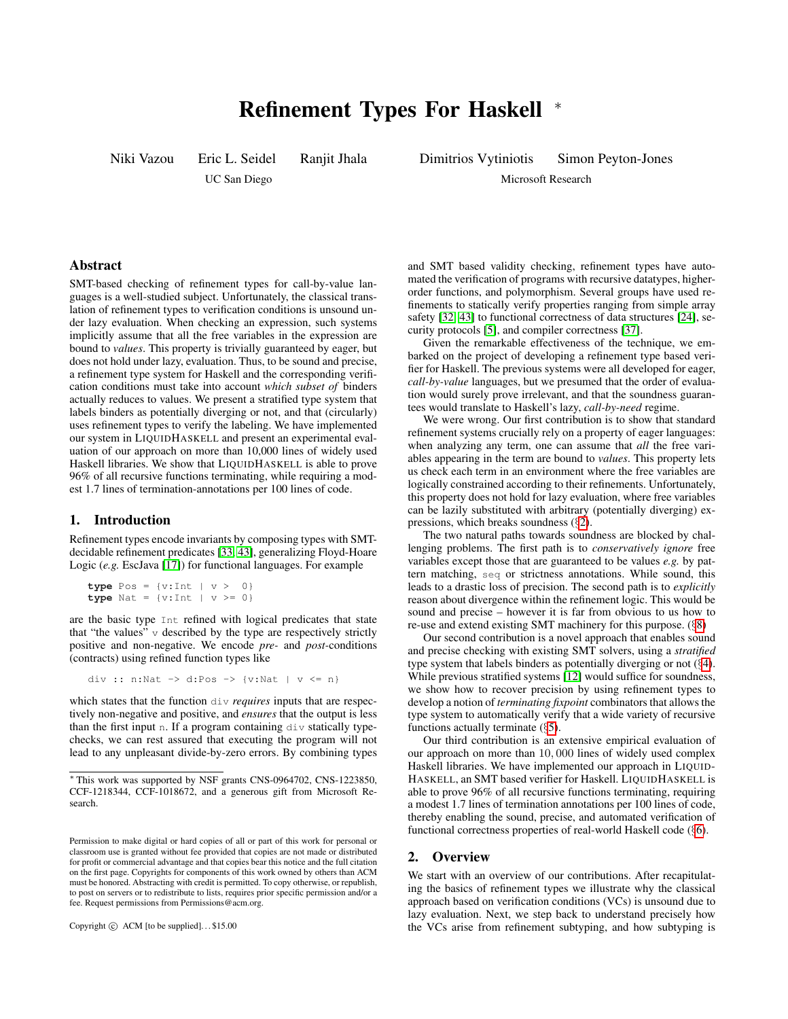# Refinement Types For Haskell <sup>∗</sup>

Niki Vazou Eric L. Seidel Ranjit Jhala

UC San Diego

Dimitrios Vytiniotis Simon Peyton-Jones

Microsoft Research

# Abstract

SMT-based checking of refinement types for call-by-value languages is a well-studied subject. Unfortunately, the classical translation of refinement types to verification conditions is unsound under lazy evaluation. When checking an expression, such systems implicitly assume that all the free variables in the expression are bound to *values*. This property is trivially guaranteed by eager, but does not hold under lazy, evaluation. Thus, to be sound and precise, a refinement type system for Haskell and the corresponding verification conditions must take into account *which subset of* binders actually reduces to values. We present a stratified type system that labels binders as potentially diverging or not, and that (circularly) uses refinement types to verify the labeling. We have implemented our system in LIQUIDHASKELL and present an experimental evaluation of our approach on more than 10,000 lines of widely used Haskell libraries. We show that LIQUIDHASKELL is able to prove 96% of all recursive functions terminating, while requiring a modest 1.7 lines of termination-annotations per 100 lines of code.

# <span id="page-0-1"></span>1. Introduction

Refinement types encode invariants by composing types with SMTdecidable refinement predicates [\[33,](#page-14-0) [43\]](#page-14-1), generalizing Floyd-Hoare Logic (*e.g.* EscJava [\[17\]](#page-14-2)) for functional languages. For example

```
type Pos = \{v:Int | v > 0\}type Nat = \{v : \text{Int} \mid v \ge 0\}
```
are the basic type Int refined with logical predicates that state that "the values"  $\nu$  described by the type are respectively strictly positive and non-negative. We encode *pre-* and *post-*conditions (contracts) using refined function types like

div :: n:Nat -> d:Pos -> {v:Nat | v <= n}

which states that the function div *requires* inputs that are respectively non-negative and positive, and *ensures* that the output is less than the first input n. If a program containing  $div$  statically typechecks, we can rest assured that executing the program will not lead to any unpleasant divide-by-zero errors. By combining types

Copyright  $\odot$  ACM [to be supplied]...\$15.00

and SMT based validity checking, refinement types have automated the verification of programs with recursive datatypes, higherorder functions, and polymorphism. Several groups have used refinements to statically verify properties ranging from simple array safety [\[32,](#page-14-3) [43\]](#page-14-1) to functional correctness of data structures [\[24\]](#page-14-4), security protocols [\[5\]](#page-13-0), and compiler correctness [\[37\]](#page-14-5).

Given the remarkable effectiveness of the technique, we embarked on the project of developing a refinement type based verifier for Haskell. The previous systems were all developed for eager, *call-by-value* languages, but we presumed that the order of evaluation would surely prove irrelevant, and that the soundness guarantees would translate to Haskell's lazy, *call-by-need* regime.

We were wrong. Our first contribution is to show that standard refinement systems crucially rely on a property of eager languages: when analyzing any term, one can assume that *all* the free variables appearing in the term are bound to *values*. This property lets us check each term in an environment where the free variables are logically constrained according to their refinements. Unfortunately, this property does not hold for lazy evaluation, where free variables can be lazily substituted with arbitrary (potentially diverging) expressions, which breaks soundness (§[2\)](#page-0-0).

The two natural paths towards soundness are blocked by challenging problems. The first path is to *conservatively ignore* free variables except those that are guaranteed to be values *e.g.* by pattern matching, seq or strictness annotations. While sound, this leads to a drastic loss of precision. The second path is to *explicitly* reason about divergence within the refinement logic. This would be sound and precise – however it is far from obvious to us how to re-use and extend existing SMT machinery for this purpose. (§[8\)](#page-12-0)

Our second contribution is a novel approach that enables sound and precise checking with existing SMT solvers, using a *stratified* type system that labels binders as potentially diverging or not (§[4\)](#page-7-0). While previous stratified systems [\[12\]](#page-13-1) would suffice for soundness, we show how to recover precision by using refinement types to develop a notion of *terminating fixpoint* combinators that allows the type system to automatically verify that a wide variety of recursive functions actually terminate  $(\S 5)$  $(\S 5)$ .

Our third contribution is an extensive empirical evaluation of our approach on more than 10, 000 lines of widely used complex Haskell libraries. We have implemented our approach in LIQUID-HASKELL, an SMT based verifier for Haskell. LIQUIDHASKELL is able to prove 96% of all recursive functions terminating, requiring a modest 1.7 lines of termination annotations per 100 lines of code, thereby enabling the sound, precise, and automated verification of functional correctness properties of real-world Haskell code (§[6\)](#page-11-0).

# <span id="page-0-0"></span>2. Overview

We start with an overview of our contributions. After recapitulating the basics of refinement types we illustrate why the classical approach based on verification conditions (VCs) is unsound due to lazy evaluation. Next, we step back to understand precisely how the VCs arise from refinement subtyping, and how subtyping is

<sup>∗</sup> This work was supported by NSF grants CNS-0964702, CNS-1223850, CCF-1218344, CCF-1018672, and a generous gift from Microsoft Research.

Permission to make digital or hard copies of all or part of this work for personal or classroom use is granted without fee provided that copies are not made or distributed for profit or commercial advantage and that copies bear this notice and the full citation on the first page. Copyrights for components of this work owned by others than ACM must be honored. Abstracting with credit is permitted. To copy otherwise, or republish, to post on servers or to redistribute to lists, requires prior specific permission and/or a fee. Request permissions from Permissions@acm.org.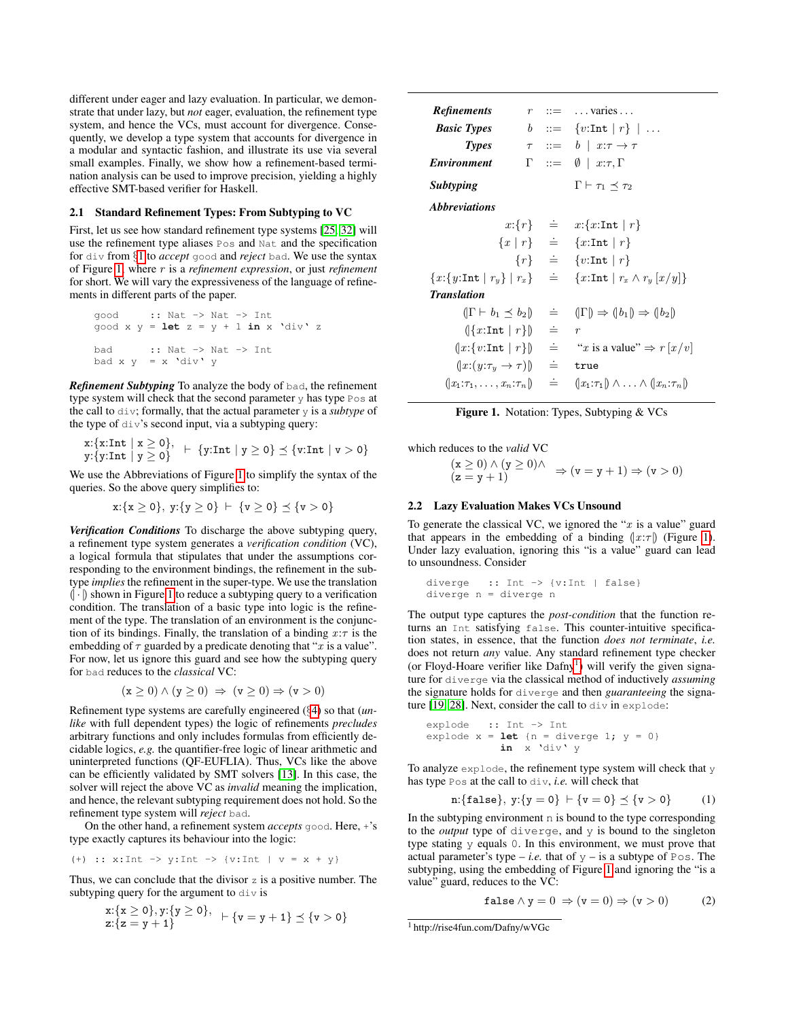different under eager and lazy evaluation. In particular, we demonstrate that under lazy, but *not* eager, evaluation, the refinement type system, and hence the VCs, must account for divergence. Consequently, we develop a type system that accounts for divergence in a modular and syntactic fashion, and illustrate its use via several small examples. Finally, we show how a refinement-based termination analysis can be used to improve precision, yielding a highly effective SMT-based verifier for Haskell.

## 2.1 Standard Refinement Types: From Subtyping to VC

First, let us see how standard refinement type systems [\[25,](#page-14-6) [32\]](#page-14-3) will use the refinement type aliases Pos and Nat and the specification for div from §[1](#page-0-1) to *accept* good and *reject* bad. We use the syntax of Figure [1,](#page-1-0) where r is a *refinement expression*, or just *refinement* for short. We will vary the expressiveness of the language of refinements in different parts of the paper.

\n
$$
\text{good} \quad :: \text{Nat} \rightarrow \text{Nat} \rightarrow \text{Int}
$$
\n

\n\n $\text{good} \times y = \text{let } z = y + 1 \text{ in } x \text{ 'div' } z$ \n

\n\n $\text{bad} \quad :: \text{Nat} \rightarrow \text{Nat} \rightarrow \text{Int}$ \n

\n\n $\text{bad} \times y = x \text{ 'div' } y$ \n

*Refinement Subtyping* To analyze the body of bad, the refinement type system will check that the second parameter  $y$  has type  $Pos$  at the call to div; formally, that the actual parameter y is a *subtype* of the type of div's second input, via a subtyping query:

$$
\begin{array}{l}\n\text{x:} \{\text{x:Int} \mid \text{x} \geq 0\}, \\
\text{y:} \{\text{y:Int} \mid \text{y} \geq 0\} \quad \vdash \ \{\text{y:Int} \mid \text{y} \geq 0\} \preceq \{\text{v:Int} \mid \text{v} > 0\}\n\end{array}
$$

We use the Abbreviations of Figure [1](#page-1-0) to simplify the syntax of the queries. So the above query simplifies to:

$$
x:\{x\geq 0\},\ y:\{y\geq 0\}\ \vdash\ \{v\geq 0\}\preceq\{v>0\}
$$

*Verification Conditions* To discharge the above subtyping query, a refinement type system generates a *verification condition* (VC), a logical formula that stipulates that under the assumptions corresponding to the environment bindings, the refinement in the subtype *implies* the refinement in the super-type. We use the translation  $\langle \cdot | \cdot \rangle$  shown in Figure [1](#page-1-0) to reduce a subtyping query to a verification condition. The translation of a basic type into logic is the refinement of the type. The translation of an environment is the conjunction of its bindings. Finally, the translation of a binding  $x:\tau$  is the embedding of  $\tau$  guarded by a predicate denoting that "x is a value". For now, let us ignore this guard and see how the subtyping query for bad reduces to the *classical* VC:

$$
(\mathbf{x} \ge 0) \land (\mathbf{y} \ge 0) \Rightarrow (\mathbf{v} \ge 0) \Rightarrow (\mathbf{v} > 0)
$$

Refinement type systems are carefully engineered (§[4\)](#page-7-0) so that (*unlike* with full dependent types) the logic of refinements *precludes* arbitrary functions and only includes formulas from efficiently decidable logics, *e.g.* the quantifier-free logic of linear arithmetic and uninterpreted functions (QF-EUFLIA). Thus, VCs like the above can be efficiently validated by SMT solvers [\[13\]](#page-13-2). In this case, the solver will reject the above VC as *invalid* meaning the implication, and hence, the relevant subtyping requirement does not hold. So the refinement type system will *reject* bad.

On the other hand, a refinement system *accepts* good. Here, +'s type exactly captures its behaviour into the logic:

(+) :: x:Int -> y:Int -> {v:Int | v = x + y}

Thus, we can conclude that the divisor  $z$  is a positive number. The subtyping query for the argument to div is

$$
x:\{x \ge 0\}, y:\{y \ge 0\}, + \{v = y + 1\} \preceq \{v > 0\}
$$
  

$$
x:\{z = y + 1\}
$$

| <b>Refinements</b>                           |                   | $r$ ::=  varies                                     |
|----------------------------------------------|-------------------|-----------------------------------------------------|
| <b>Basic Types</b>                           |                   | $b$ ::= {v:Int   r}                                 |
| <b>Types</b>                                 |                   | $\tau$ ::= $b \mid x:\tau \to \tau$                 |
| <b>Environment</b>                           |                   | $\Gamma$ ::= $\emptyset$   $x:\tau,\Gamma$          |
| <b>Subtyping</b>                             |                   | $\Gamma \vdash \tau_1 \prec \tau_2$                 |
| <i><b>Abbreviations</b></i>                  |                   |                                                     |
|                                              |                   | $x:\{r\}$ = $x:\{x:\text{Int} \mid r\}$             |
|                                              |                   | ${x   r} \stackrel{.}{=} \{x : \text{Int}   r\}$    |
|                                              |                   | $\{r\}$ $\doteq$ $\{v:\text{Int}   r\}$             |
| ${x:\{y:\text{Int}   r_y\}   r_x\}$ $\equiv$ |                   | ${x:\text{Int}   r_x \wedge r_y  x/y }$             |
| <b>Translation</b>                           |                   |                                                     |
| $( \Gamma \vdash b_1 \prec b_2 )$            | $\stackrel{.}{=}$ | $( \Gamma  \Rightarrow ( b_1 ) \Rightarrow ( b_2 )$ |
| $( x:\text{Int}   r) $                       | $\dot{=}$         | $\boldsymbol{r}$                                    |
| $(x:\{v:\text{Int}   r\})$                   | $\dot{=}$         | "x is a value" $\Rightarrow r[x/v]$                 |
| $(x:(y:\tau_y\to\tau))$                      | $\dot{=}$         | true                                                |
| $(x_1:\tau_1,\ldots,x_n:\tau_n)$             | $\doteq$          | $(x_1:\tau_1)\wedge\ldots\wedge(x_n:\tau_n)$        |

<span id="page-1-0"></span>Figure 1. Notation: Types, Subtyping & VCs

which reduces to the *valid* VC

 $(x \ge 0) \wedge (y \ge 0) \wedge$ <br>  $(z = y + 1) \Rightarrow (v = y + 1) \Rightarrow (v > 0)$ 

#### <span id="page-1-3"></span>2.2 Lazy Evaluation Makes VCs Unsound

To generate the classical VC, we ignored the " $x$  is a value" guard that appears in the embedding of a binding  $(x:\tau)$  (Figure [1\)](#page-1-0). Under lazy evaluation, ignoring this "is a value" guard can lead to unsoundness. Consider

```
diverge :: Int -> {v:Int | false}
diverge n = diverge n =
```
The output type captures the *post-condition* that the function returns an Int satisfying false. This counter-intuitive specification states, in essence, that the function *does not terminate*, *i.e.* does not return *any* value. Any standard refinement type checker (or Floyd-Hoare verifier like Dafny<sup>[1](#page-1-1)</sup>) will verify the given signature for diverge via the classical method of inductively *assuming* the signature holds for diverge and then *guaranteeing* the signature [\[19,](#page-14-7) [28\]](#page-14-8). Next, consider the call to div in explode:

```
explode :: Int -> Int
explode x = \text{let} {n = diverge 1; y = 0}
            in x 'div' y
```
To analyze explode, the refinement type system will check that y has type Pos at the call to div, *i.e.* will check that

n: {false}, y: {y = 0} 
$$
\vdash
$$
 {v = 0}  $\preceq$  {v > 0} (1)

In the subtyping environment  $n$  is bound to the type corresponding to the *output* type of diverge, and y is bound to the singleton type stating y equals 0. In this environment, we must prove that actual parameter's type – *i.e.* that of  $y$  – is a subtype of Pos. The subtyping, using the embedding of Figure [1](#page-1-0) and ignoring the "is a value" guard, reduces to the VC:

<span id="page-1-4"></span><span id="page-1-2"></span>
$$
false \land y = 0 \Rightarrow (v = 0) \Rightarrow (v > 0) \tag{2}
$$

<span id="page-1-1"></span><sup>1</sup> http://rise4fun.com/Dafny/wVGc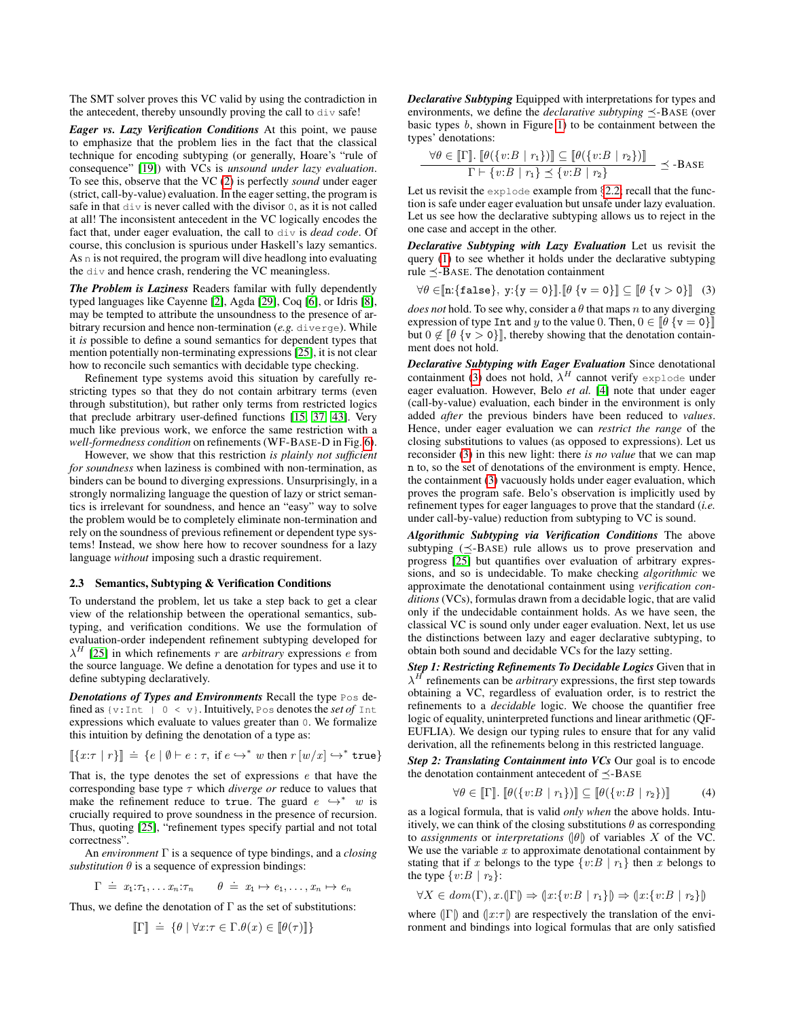The SMT solver proves this VC valid by using the contradiction in the antecedent, thereby unsoundly proving the call to div safe!

*Eager vs. Lazy Verification Conditions* At this point, we pause to emphasize that the problem lies in the fact that the classical technique for encoding subtyping (or generally, Hoare's "rule of consequence" [\[19\]](#page-14-7)) with VCs is *unsound under lazy evaluation*. To see this, observe that the VC [\(2\)](#page-1-2) is perfectly *sound* under eager (strict, call-by-value) evaluation. In the eager setting, the program is safe in that div is never called with the divisor 0, as it is not called at all! The inconsistent antecedent in the VC logically encodes the fact that, under eager evaluation, the call to div is *dead code*. Of course, this conclusion is spurious under Haskell's lazy semantics. As n is not required, the program will dive headlong into evaluating the div and hence crash, rendering the VC meaningless.

*The Problem is Laziness* Readers familar with fully dependently typed languages like Cayenne [\[2\]](#page-13-3), Agda [\[29\]](#page-14-9), Coq [\[6\]](#page-13-4), or Idris [\[8\]](#page-13-5), may be tempted to attribute the unsoundness to the presence of arbitrary recursion and hence non-termination (*e.g.* diverge). While it *is* possible to define a sound semantics for dependent types that mention potentially non-terminating expressions [\[25\]](#page-14-6), it is not clear how to reconcile such semantics with decidable type checking.

Refinement type systems avoid this situation by carefully restricting types so that they do not contain arbitrary terms (even through substitution), but rather only terms from restricted logics that preclude arbitrary user-defined functions [\[15,](#page-13-6) [37,](#page-14-5) [43\]](#page-14-1). Very much like previous work, we enforce the same restriction with a *well-formedness condition* on refinements (WF-BASE-D in Fig. [6\)](#page-7-1).

However, we show that this restriction *is plainly not sufficient for soundness* when laziness is combined with non-termination, as binders can be bound to diverging expressions. Unsurprisingly, in a strongly normalizing language the question of lazy or strict semantics is irrelevant for soundness, and hence an "easy" way to solve the problem would be to completely eliminate non-termination and rely on the soundness of previous refinement or dependent type systems! Instead, we show here how to recover soundness for a lazy language *without* imposing such a drastic requirement.

#### <span id="page-2-2"></span>2.3 Semantics, Subtyping & Verification Conditions

To understand the problem, let us take a step back to get a clear view of the relationship between the operational semantics, subtyping, and verification conditions. We use the formulation of evaluation-order independent refinement subtyping developed for  $\lambda^H$  [\[25\]](#page-14-6) in which refinements r are *arbitrary* expressions *e* from the source language. We define a denotation for types and use it to define subtyping declaratively.

*Denotations of Types and Environments* Recall the type Pos defined as  $\{v:\text{Int } | 0 \le v\}$ . Intuitively, Pos denotes the *set of* Int expressions which evaluate to values greater than 0. We formalize this intuition by defining the denotation of a type as:

$$
\llbracket \{x:\tau \mid r\} \rrbracket \doteq \{e \mid \emptyset \vdash e : \tau, \text{ if } e \hookrightarrow^* w \text{ then } r \llbracket w/x \rrbracket \hookrightarrow^* \text{true} \}
$$

That is, the type denotes the set of expressions  $e$  that have the corresponding base type  $\tau$  which *diverge or* reduce to values that make the refinement reduce to true. The guard  $e \leftrightarrow^* w$  is crucially required to prove soundness in the presence of recursion. Thus, quoting [\[25\]](#page-14-6), "refinement types specify partial and not total correctness".

An *environment* Γ is a sequence of type bindings, and a *closing substitution*  $\theta$  is a sequence of expression bindings:

$$
\Gamma \doteq x_1 \mathpunct{:}\tau_1, \ldots x_n \mathpunct{:}\tau_n \qquad \theta \doteq x_1 \mapsto e_1, \ldots, x_n \mapsto e_n
$$

Thus, we define the denotation of  $\Gamma$  as the set of substitutions:

$$
\llbracket \Gamma \rrbracket \ \doteq \ \{\theta \mid \forall x{:}\tau \in \Gamma.\theta(x) \in \llbracket \theta(\tau) \rrbracket \}
$$

*Declarative Subtyping* Equipped with interpretations for types and environments, we define the *declarative subtyping*  $\prec$ -BASE (over basic types b, shown in Figure [1\)](#page-1-0) to be containment between the types' denotations:

$$
\frac{\forall \theta \in [\![\Gamma]\!]. \; [\![\theta(\{v:B \mid r_1\})]\!] \subseteq [\![\theta(\{v:B \mid r_2\})]\!] }{\Gamma \vdash \{v:B \mid r_1\} \preceq \{v:B \mid r_2\}} \preceq \text{-Base}
$$

Let us revisit the explode example from §[2.2;](#page-1-3) recall that the function is safe under eager evaluation but unsafe under lazy evaluation. Let us see how the declarative subtyping allows us to reject in the one case and accept in the other.

*Declarative Subtyping with Lazy Evaluation* Let us revisit the query [\(1\)](#page-1-4) to see whether it holds under the declarative subtyping rule  $\prec$ -BASE. The denotation containment

<span id="page-2-0"></span>
$$
\forall \theta \in \llbracket n:\llbracket \mathtt{false} \rrbracket, y: \llbracket y = 0 \rrbracket \rrbracket. \llbracket \theta \{\mathtt{v} = 0 \} \rrbracket \subseteq \llbracket \theta \{\mathtt{v} > 0 \} \rrbracket \tag{3}
$$

*does not* hold. To see why, consider a  $\theta$  that maps n to any diverging expression of type Int and y to the value 0. Then,  $0 \in [\theta \{v = 0\}]$ but  $0 \notin [\theta \{v > 0\}]$ , thereby showing that the denotation containment does not hold.

*Declarative Subtyping with Eager Evaluation* Since denotational containment [\(3\)](#page-2-0) does not hold,  $\lambda^H$  cannot verify explode under eager evaluation. However, Belo *et al.* [\[4\]](#page-13-7) note that under eager (call-by-value) evaluation, each binder in the environment is only added *after* the previous binders have been reduced to *values*. Hence, under eager evaluation we can *restrict the range* of the closing substitutions to values (as opposed to expressions). Let us reconsider [\(3\)](#page-2-0) in this new light: there *is no value* that we can map n to, so the set of denotations of the environment is empty. Hence, the containment [\(3\)](#page-2-0) vacuously holds under eager evaluation, which proves the program safe. Belo's observation is implicitly used by refinement types for eager languages to prove that the standard (*i.e.* under call-by-value) reduction from subtyping to VC is sound.

*Algorithmic Subtyping via Verification Conditions* The above subtyping  $(\leq$ -BASE) rule allows us to prove preservation and progress [\[25\]](#page-14-6) but quantifies over evaluation of arbitrary expressions, and so is undecidable. To make checking *algorithmic* we approximate the denotational containment using *verification conditions* (VCs), formulas drawn from a decidable logic, that are valid only if the undecidable containment holds. As we have seen, the classical VC is sound only under eager evaluation. Next, let us use the distinctions between lazy and eager declarative subtyping, to obtain both sound and decidable VCs for the lazy setting.

*Step 1: Restricting Refinements To Decidable Logics* Given that in  $\lambda$ <sup>H</sup> refinements can be *arbitrary* expressions, the first step towards obtaining a VC, regardless of evaluation order, is to restrict the refinements to a *decidable* logic. We choose the quantifier free logic of equality, uninterpreted functions and linear arithmetic (QF-EUFLIA). We design our typing rules to ensure that for any valid derivation, all the refinements belong in this restricted language.

*Step 2: Translating Containment into VCs* Our goal is to encode the denotation containment antecedent of  $\prec$ -BASE

<span id="page-2-1"></span>
$$
\forall \theta \in [\![\Gamma]\!], [\![\theta(\{v:B \mid r_1\})]\!] \subseteq [\![\theta(\{v:B \mid r_2\})]\!] \tag{4}
$$

as a logical formula, that is valid *only when* the above holds. Intuitively, we can think of the closing substitutions  $\theta$  as corresponding to *assignments* or *interpretations*  $(\theta)$  of variables X of the VC. We use the variable  $x$  to approximate denotational containment by stating that if x belongs to the type  $\{v:B \mid r_1\}$  then x belongs to the type  $\{v:B \mid r_2\}$ :

$$
\forall X \in dom(\Gamma), x. (\Gamma) \Rightarrow (x : \{v : B \mid r_1\}) \Rightarrow (x : \{v : B \mid r_2\})
$$

where  $(|\Gamma|)$  and  $(|x:\tau|)$  are respectively the translation of the environment and bindings into logical formulas that are only satisfied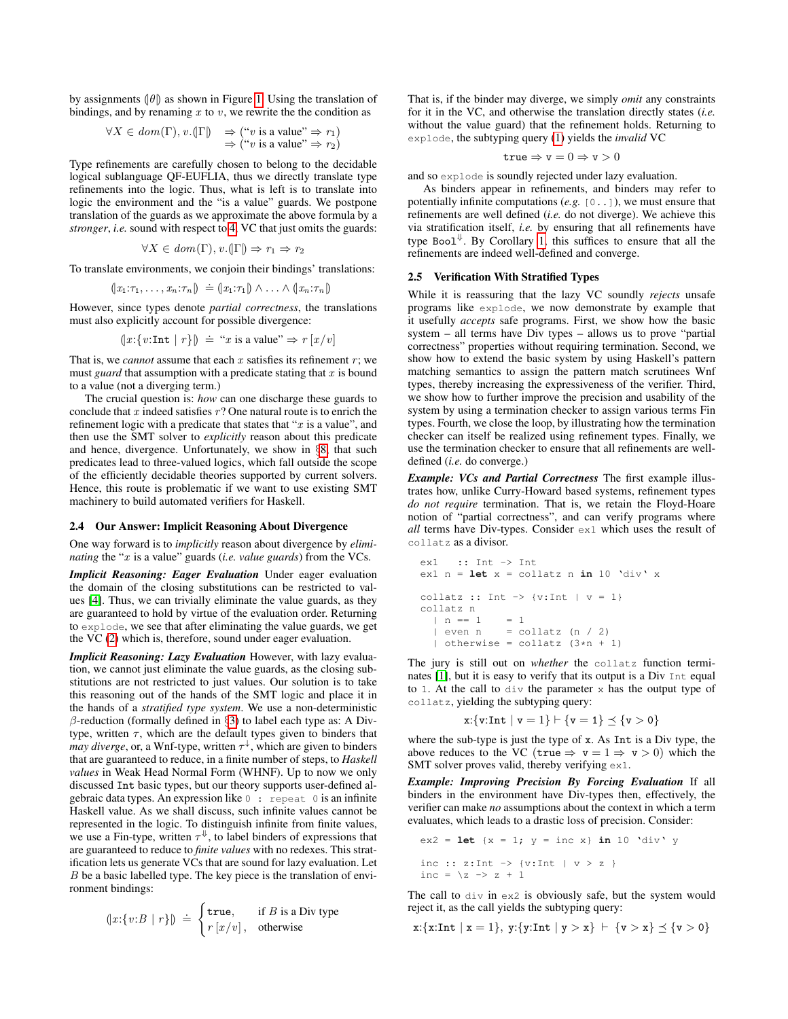by assignments  $(\theta)$  as shown in Figure [1.](#page-1-0) Using the translation of bindings, and by renaming  $x$  to  $v$ , we rewrite the the condition as

$$
\forall X \in dom(\Gamma), v. (\vert \Gamma \vert) \Rightarrow (\text{``}v \text{ is a value''} \Rightarrow r_1)
$$
  

$$
\Rightarrow (\text{``}v \text{ is a value''} \Rightarrow r_2)
$$

Type refinements are carefully chosen to belong to the decidable logical sublanguage QF-EUFLIA, thus we directly translate type refinements into the logic. Thus, what is left is to translate into logic the environment and the "is a value" guards. We postpone translation of the guards as we approximate the above formula by a *stronger*, *i.e.* sound with respect to [4,](#page-2-1) VC that just omits the guards:

$$
\forall X \in \text{dom}(\Gamma), v. (\Gamma) \Rightarrow r_1 \Rightarrow r_2
$$

To translate environments, we conjoin their bindings' translations:

$$
(x_1:\tau_1,\ldots,x_n:\tau_n)\doteq (x_1:\tau_1)\wedge\ldots\wedge(x_n:\tau_n)
$$

However, since types denote *partial correctness*, the translations must also explicitly account for possible divergence:

$$
(x:\{v:\text{Int} | r\}) \doteq "x \text{ is a value" \Rightarrow r[x/v]
$$

That is, we *cannot* assume that each  $x$  satisfies its refinement  $r$ ; we must *guard* that assumption with a predicate stating that  $x$  is bound to a value (not a diverging term.)

The crucial question is: *how* can one discharge these guards to conclude that  $x$  indeed satisfies  $r$ ? One natural route is to enrich the refinement logic with a predicate that states that " $x$  is a value", and then use the SMT solver to *explicitly* reason about this predicate and hence, divergence. Unfortunately, we show in §[8,](#page-12-0) that such predicates lead to three-valued logics, which fall outside the scope of the efficiently decidable theories supported by current solvers. Hence, this route is problematic if we want to use existing SMT machinery to build automated verifiers for Haskell.

#### 2.4 Our Answer: Implicit Reasoning About Divergence

One way forward is to *implicitly* reason about divergence by *eliminating* the "x is a value" guards (*i.e. value guards*) from the VCs.

*Implicit Reasoning: Eager Evaluation* Under eager evaluation the domain of the closing substitutions can be restricted to values [\[4\]](#page-13-7). Thus, we can trivially eliminate the value guards, as they are guaranteed to hold by virtue of the evaluation order. Returning to explode, we see that after eliminating the value guards, we get the VC [\(2\)](#page-1-2) which is, therefore, sound under eager evaluation.

*Implicit Reasoning: Lazy Evaluation* However, with lazy evaluation, we cannot just eliminate the value guards, as the closing substitutions are not restricted to just values. Our solution is to take this reasoning out of the hands of the SMT logic and place it in the hands of a *stratified type system*. We use a non-deterministic  $\beta$ -reduction (formally defined in §[3\)](#page-5-0) to label each type as: A Divtype, written  $\tau$ , which are the default types given to binders that *may diverge*, or, a Wnf-type, written  $\tau^{\downarrow}$ , which are given to binders that are guaranteed to reduce, in a finite number of steps, to *Haskell values* in Weak Head Normal Form (WHNF). Up to now we only discussed Int basic types, but our theory supports user-defined algebraic data types. An expression like 0 : repeat 0 is an infinite Haskell value. As we shall discuss, such infinite values cannot be represented in the logic. To distinguish infinite from finite values, we use a Fin-type, written  $\tau^{\Downarrow}$ , to label binders of expressions that are guaranteed to reduce to *finite values* with no redexes. This stratification lets us generate VCs that are sound for lazy evaluation. Let  $B$  be a basic labelled type. The key piece is the translation of environment bindings:

$$
(x:\{v:B \mid r\}) \doteq \begin{cases} \mathtt{true}, & \text{if } B \text{ is a Div type} \\ r[x/v], & \text{otherwise} \end{cases}
$$

 $\lambda$ 

That is, if the binder may diverge, we simply *omit* any constraints for it in the VC, and otherwise the translation directly states (*i.e.* without the value guard) that the refinement holds. Returning to explode, the subtyping query [\(1\)](#page-1-4) yields the *invalid* VC

$$
{\tt true} \Rightarrow {\tt v} = 0 \Rightarrow {\tt v} > 0
$$

and so explode is soundly rejected under lazy evaluation.

As binders appear in refinements, and binders may refer to potentially infinite computations (*e.g.* [0..]), we must ensure that refinements are well defined (*i.e.* do not diverge). We achieve this via stratification itself, *i.e.* by ensuring that all refinements have type Boo $1^{\Downarrow}$ . By Corollary [1,](#page-9-1) this suffices to ensure that all the refinements are indeed well-defined and converge.

#### 2.5 Verification With Stratified Types

While it is reassuring that the lazy VC soundly *rejects* unsafe programs like explode, we now demonstrate by example that it usefully *accepts* safe programs. First, we show how the basic system – all terms have Div types – allows us to prove "partial correctness" properties without requiring termination. Second, we show how to extend the basic system by using Haskell's pattern matching semantics to assign the pattern match scrutinees Wnf types, thereby increasing the expressiveness of the verifier. Third, we show how to further improve the precision and usability of the system by using a termination checker to assign various terms Fin types. Fourth, we close the loop, by illustrating how the termination checker can itself be realized using refinement types. Finally, we use the termination checker to ensure that all refinements are welldefined (*i.e.* do converge.)

*Example: VCs and Partial Correctness* The first example illustrates how, unlike Curry-Howard based systems, refinement types *do not require* termination. That is, we retain the Floyd-Hoare notion of "partial correctness", and can verify programs where *all* terms have Div-types. Consider ex1 which uses the result of collatz as a divisor.

```
ex1 :: Int -> Int
ex1 n = let x = collatz n in 10 'div' x
collatz :: Int \rightarrow {v:Int | v = 1}
collatz n
 | n == 1 = 1| even n = collatz (n / 2)
  | otherwise = collatz (3*n + 1)
```
The jury is still out on *whether* the collatz function terminates [\[1\]](#page-13-8), but it is easy to verify that its output is a Div Int equal to 1. At the call to  $div$  the parameter x has the output type of collatz, yielding the subtyping query:

$$
x: \{v: Int \mid v = 1\} \vdash \{v = 1\} \preceq \{v > 0\}
$$

where the sub-type is just the type of x. As Int is a Div type, the above reduces to the VC (true  $\Rightarrow$  v = 1  $\Rightarrow$  v > 0) which the SMT solver proves valid, thereby verifying ex1.

*Example: Improving Precision By Forcing Evaluation* If all binders in the environment have Div-types then, effectively, the verifier can make *no* assumptions about the context in which a term evaluates, which leads to a drastic loss of precision. Consider:

$$
ex2 =
$$
 **let** { $x = 1$ ;  $y =$  inc x} **in** 10 'div' y  
inc :: z:Int -> {v:Int | v > z }  
inc =  $\{z \rightarrow z + 1$ 

The call to  $div$  in  $ex2$  is obviously safe, but the system would reject it, as the call yields the subtyping query:

 $x:\{x:\text{Int} \mid x = 1\}, y:\{y:\text{Int} \mid y > x\} \vdash \{v > x\} \preceq \{v > 0\}$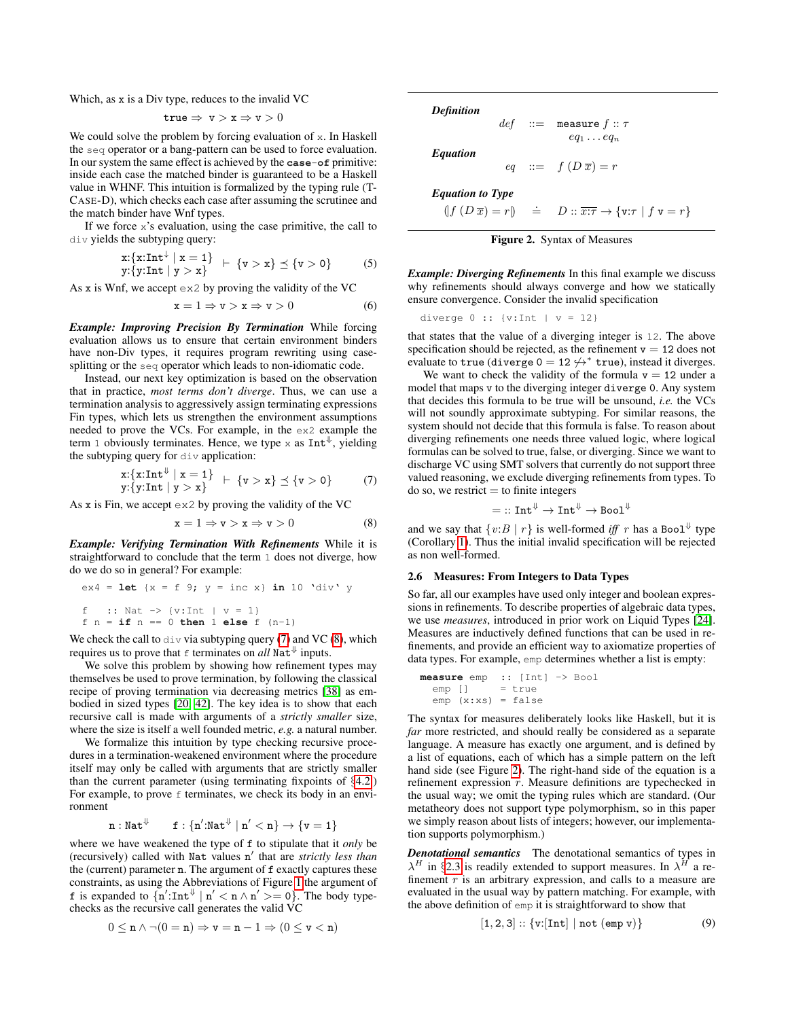Which, as x is a Div type, reduces to the invalid VC

$$
\mathtt{true} \Rightarrow \, \mathtt{v} > \mathtt{x} \Rightarrow \mathtt{v} > 0
$$

We could solve the problem by forcing evaluation of x. In Haskell the seq operator or a bang-pattern can be used to force evaluation. In our system the same effect is achieved by the **case**-**of** primitive: inside each case the matched binder is guaranteed to be a Haskell value in WHNF. This intuition is formalized by the typing rule (T-CASE-D), which checks each case after assuming the scrutinee and the match binder have Wnf types.

If we force  $x$ 's evaluation, using the case primitive, the call to div yields the subtyping query:

$$
x: \{x: Int^{\downarrow} \mid x = 1\} + \{v > x\} \preceq \{v > 0\} \tag{5}
$$
  
 
$$
y: \{y: Int \mid y > x\}
$$

As  $x$  is Wnf, we accept  $ex2$  by proving the validity of the VC

$$
\mathbf{x} = 1 \Rightarrow \mathbf{v} > \mathbf{x} \Rightarrow \mathbf{v} > 0 \tag{6}
$$

*Example: Improving Precision By Termination* While forcing evaluation allows us to ensure that certain environment binders have non-Div types, it requires program rewriting using casesplitting or the seq operator which leads to non-idiomatic code.

Instead, our next key optimization is based on the observation that in practice, *most terms don't diverge*. Thus, we can use a termination analysis to aggressively assign terminating expressions Fin types, which lets us strengthen the environment assumptions needed to prove the VCs. For example, in the ex2 example the term 1 obviously terminates. Hence, we type x as  $Int^{\psi}$ , yielding the subtyping query for  $div$  application:

$$
x:\{x:\text{Int} \downarrow x = 1\} + \{v > x\} \leq \{v > 0\} \tag{7}
$$
  

$$
y:\{y:\text{Int} \downarrow y > x\}
$$

As x is Fin, we accept ex2 by proving the validity of the VC

$$
\mathbf{x} = 1 \Rightarrow \mathbf{v} > \mathbf{x} \Rightarrow \mathbf{v} > 0 \tag{8}
$$

*Example: Verifying Termination With Refinements* While it is straightforward to conclude that the term 1 does not diverge, how do we do so in general? For example:

$$
ex4 =
$$
 **let** { $x = f 9$ ;  $y =$  inc x} **in** 10 'div' y  
\nf :: Nat -> { $v$ :Int |  $v = 1$ }  
\nf n = **if** n == 0 **then** 1 **else** f (n-1)

We check the call to  $div$  via subtyping query [\(7\)](#page-4-0) and VC [\(8\)](#page-4-1), which requires us to prove that  $\epsilon$  terminates on *all* Nat<sup> $\Downarrow$ </sup> inputs.

We solve this problem by showing how refinement types may themselves be used to prove termination, by following the classical recipe of proving termination via decreasing metrics [\[38\]](#page-14-10) as embodied in sized types [\[20,](#page-14-11) [42\]](#page-14-12). The key idea is to show that each recursive call is made with arguments of a *strictly smaller* size, where the size is itself a well founded metric, *e.g.* a natural number.

We formalize this intuition by type checking recursive procedures in a termination-weakened environment where the procedure itself may only be called with arguments that are strictly smaller than the current parameter (using terminating fixpoints of §[4.2.](#page-8-0)) For example, to prove  $f$  terminates, we check its body in an environment

$$
\mathtt{n} : \mathtt{Nat}^\Downarrow \qquad \mathtt{f} : \{\mathtt{n}'{:}\mathtt{Nat}^\Downarrow \mid \mathtt{n}' < \mathtt{n}\} \rightarrow \{\mathtt{v} = 1\}
$$

where we have weakened the type of f to stipulate that it *only* be (recursively) called with Nat values n' that are *strictly less than* the (current) parameter n. The argument of f exactly captures these constraints, as using the Abbreviations of Figure [1](#page-1-0) the argument of f is expanded to  $\{\mathbf{n}': \mathbf{Int}^{\Downarrow} \mid \mathbf{n}' < \mathbf{n} \land \mathbf{n}' \geq 0\}$ . The body typechecks as the recursive call generates the valid VC

$$
0\leq \mathtt{n}\wedge \neg (0=\mathtt{n})\Rightarrow \mathtt{v}=\mathtt{n}-1\Rightarrow (0\leq \mathtt{v}<\mathtt{n})
$$

| <b>Definition</b>       |  |                                                                                       |
|-------------------------|--|---------------------------------------------------------------------------------------|
|                         |  | def ::= measure $f :: \tau$                                                           |
| <i><b>Equation</b></i>  |  | $eq_1 \ldots eq_n$                                                                    |
|                         |  | eq ::= $f(D\overline{x}) = r$                                                         |
| <b>Equation to Type</b> |  |                                                                                       |
|                         |  | $(f(D\overline{x})=r)$ $\doteq D :: \overline{x:\tau} \rightarrow \{v:\tau   f v=r\}$ |
|                         |  | <b>Figure 2.</b> Syntax of Measures                                                   |

<span id="page-4-2"></span>*Example: Diverging Refinements* In this final example we discuss why refinements should always converge and how we statically ensure convergence. Consider the invalid specification

diverge 0 :: {v:Int | v = 12}

that states that the value of a diverging integer is 12. The above specification should be rejected, as the refinement  $v = 12$  does not evaluate to true (diverge  $0 = 12 \not\leftrightarrow^*$  true), instead it diverges.

We want to check the validity of the formula  $v = 12$  under a model that maps v to the diverging integer diverge 0. Any system that decides this formula to be true will be unsound, *i.e.* the VCs will not soundly approximate subtyping. For similar reasons, the system should not decide that this formula is false. To reason about diverging refinements one needs three valued logic, where logical formulas can be solved to true, false, or diverging. Since we want to discharge VC using SMT solvers that currently do not support three valued reasoning, we exclude diverging refinements from types. To  $\alpha$  so, we restrict  $=$  to finite integers

$$
=::\mathtt{Int}^{\Downarrow}\rightarrow \mathtt{Int}^{\Downarrow}\rightarrow \mathtt{Bool}^{\Downarrow}
$$

<span id="page-4-1"></span><span id="page-4-0"></span>and we say that  $\{v:B \mid r\}$  is well-formed *iff* r has a Bool<sup> $\Downarrow$ </sup> type (Corollary [1\)](#page-9-1). Thus the initial invalid specification will be rejected as non well-formed.

## <span id="page-4-4"></span>2.6 Measures: From Integers to Data Types

So far, all our examples have used only integer and boolean expressions in refinements. To describe properties of algebraic data types, we use *measures*, introduced in prior work on Liquid Types [\[24\]](#page-14-4). Measures are inductively defined functions that can be used in refinements, and provide an efficient way to axiomatize properties of data types. For example, emp determines whether a list is empty:

**measure** emp :: [Int] -> Bool emp [] = true emp (x:xs) = false

The syntax for measures deliberately looks like Haskell, but it is *far* more restricted, and should really be considered as a separate language. A measure has exactly one argument, and is defined by a list of equations, each of which has a simple pattern on the left hand side (see Figure [2\)](#page-4-2). The right-hand side of the equation is a refinement expression r. Measure definitions are typechecked in the usual way; we omit the typing rules which are standard. (Our metatheory does not support type polymorphism, so in this paper we simply reason about lists of integers; however, our implementation supports polymorphism.)

*Denotational semantics* The denotational semantics of types in  $\lambda^H$  in §[2.3](#page-2-2) is readily extended to support measures. In  $\lambda^H$  a refinement  $r$  is an arbitrary expression, and calls to a measure are evaluated in the usual way by pattern matching. For example, with the above definition of emp it is straightforward to show that

<span id="page-4-3"></span>
$$
[1,2,3]::\{\text{v}:[\text{Int}]\mid \text{not (emp v)}\}\tag{9}
$$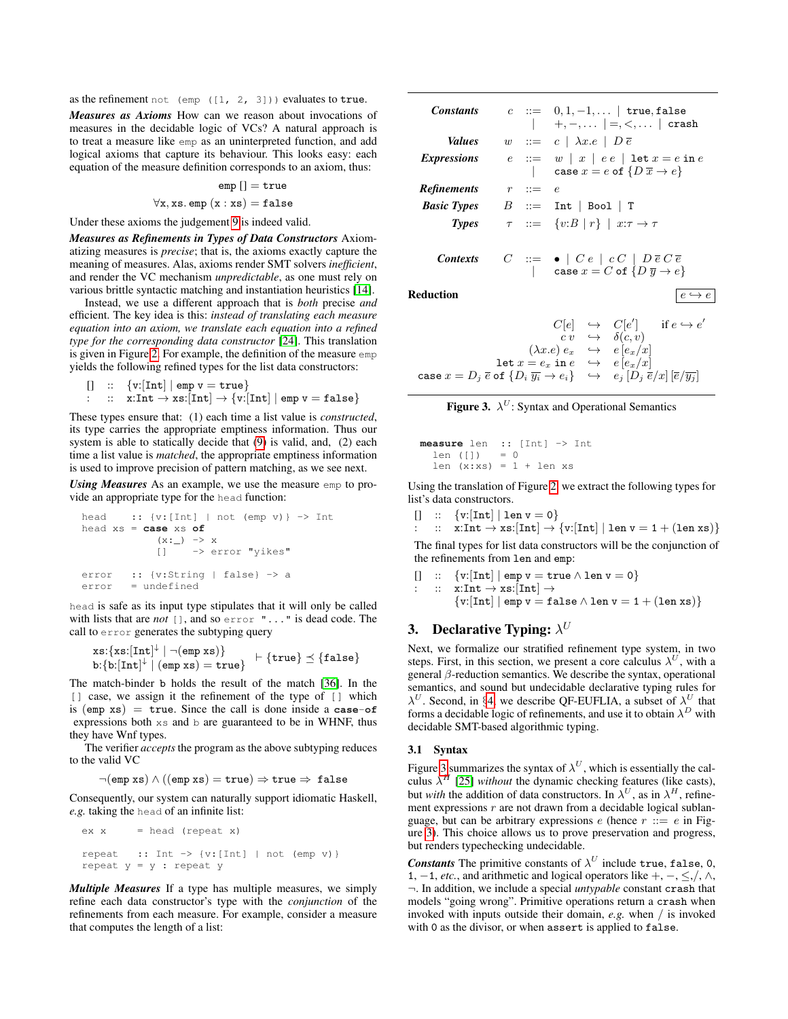as the refinement not (emp  $([1, 2, 3])$ ) evaluates to true.

*Measures as Axioms* How can we reason about invocations of measures in the decidable logic of VCs? A natural approach is to treat a measure like emp as an uninterpreted function, and add logical axioms that capture its behaviour. This looks easy: each equation of the measure definition corresponds to an axiom, thus:

$$
\mathsf{emp}\;[] = \mathtt{true}
$$

$$
\forall x, xs.\texttt{emp}(x:xs) = false
$$

Under these axioms the judgement [9](#page-4-3) is indeed valid.

*Measures as Refinements in Types of Data Constructors* Axiomatizing measures is *precise*; that is, the axioms exactly capture the meaning of measures. Alas, axioms render SMT solvers *inefficient*, and render the VC mechanism *unpredictable*, as one must rely on various brittle syntactic matching and instantiation heuristics [\[14\]](#page-13-9).

Instead, we use a different approach that is *both* precise *and* efficient. The key idea is this: *instead of translating each measure equation into an axiom, we translate each equation into a refined type for the corresponding data constructor* [\[24\]](#page-14-4). This translation is given in Figure [2.](#page-4-2) For example, the definition of the measure emp yields the following refined types for the list data constructors:

```
[] :: \{v:[Int] | emp v = true\}
```

$$
\qquad :\quad \text{x:Int} \rightarrow \text{xs:}[\text{Int}] \rightarrow \{ \text{v:} [\text{Int}] \mid \texttt{emp} \ \texttt{v} = \texttt{false} \}
$$

These types ensure that: (1) each time a list value is *constructed*, its type carries the appropriate emptiness information. Thus our system is able to statically decide that [\(9\)](#page-4-3) is valid, and, (2) each time a list value is *matched*, the appropriate emptiness information is used to improve precision of pattern matching, as we see next.

*Using Measures* As an example, we use the measure emp to provide an appropriate type for the head function:

head :: {v:[Int] | not (emp v)} -> Int head xs = **case** xs **of** (x:\_) -> x [] -> error "yikes" error :: {v:String | false} -> a error = undefined

head is safe as its input type stipulates that it will only be called with lists that are *not* [], and so error "..." is dead code. The call to error generates the subtyping query

$$
\verb!xs:\{xs:[Int]^{\downarrow} \mid \neg(\verb!emp xs){ } \}\verb! \:= \{true\} \preceq \{\verb!false{\}
$$

The match-binder b holds the result of the match [\[36\]](#page-14-13). In the [] case, we assign it the refinement of the type of [] which is (emp xs) = true. Since the call is done inside a **case**-**of** expressions both xs and b are guaranteed to be in WHNF, thus they have Wnf types.

The verifier *accepts* the program as the above subtyping reduces to the valid VC

$$
\lnot(\mathtt{emp}\ \mathtt{xs}) \land ((\mathtt{emp}\ \mathtt{xs}) = \mathtt{true}) \Rightarrow \mathtt{true} \Rightarrow \mathtt{false}
$$

Consequently, our system can naturally support idiomatic Haskell, *e.g.* taking the head of an infinite list:

```
ex x = head (repeat x)repeat :: Int -> {v: [Int] | not (emp v) }
repeat y = y: repeat y
```
*Multiple Measures* If a type has multiple measures, we simply refine each data constructor's type with the *conjunction* of the refinements from each measure. For example, consider a measure that computes the length of a list:

| <b>Constants</b>   |                       | $c := 0, 1, -1, \dots$ true, false<br>$  +, -, \ldots   =, <, \ldots  $ crash                                                |
|--------------------|-----------------------|------------------------------------------------------------------------------------------------------------------------------|
| <i>Values</i>      |                       | $w := c \mid \lambda x.e \mid D \overline{e}$                                                                                |
| <i>Expressions</i> |                       | $e ::= w   x   ee   \text{let } x = e \text{ in } e$<br>  case $x = e$ of $\{D\overline{x} \to e\}$                          |
| <b>Refinements</b> | $r \quad ::= \quad e$ |                                                                                                                              |
| <b>Basic Types</b> |                       | $B \ ::= \text{Int}   \text{Bool}   \text{T}$                                                                                |
| <b>Types</b>       |                       | $\tau$ ::= $\{v:B \mid r\}$   $x:\tau \to \tau$                                                                              |
| <b>Contexts</b>    |                       | $C \ ::= \ \bullet \mid C \ e \mid c \ C \mid D \overline{e} C \overline{e}$<br>  case $x = C$ of $\{D \overline{y} \to e\}$ |
| Reduction          |                       | $e \hookrightarrow e$                                                                                                        |
|                    |                       | $C[e] \hookrightarrow C[e']$ if $e \hookrightarrow e'$                                                                       |

$$
\begin{array}{rcl}\nC[e] & \rightarrow & C[e] & \text{if } e \rightarrow e \\
& c \, v & \rightarrow & \delta(c, v) \\
(\lambda x. e) \, e_x & \rightarrow & e \, [e_x / x] \\
\text{let } x = e_x \text{ in } e & \rightarrow & e \, [e_x / x] \\
\text{case } x = D_j \, \overline{e} \text{ of } \{D_i \, \overline{y_i} \rightarrow e_i\} & \rightarrow & e_j \, [D_j \, \overline{e} / x] \, [\overline{e}/\overline{y_j}]\n\end{array}
$$

<span id="page-5-1"></span>

```
measure len :: [Int] -> Int
  len ([]) = 0len (x:xs) = 1 + len xs
```
Using the translation of Figure [2,](#page-4-2) we extract the following types for list's data constructors.

 $[] :: \{v:[Int] \mid len v = 0\}$ 

::  $x: Int \rightarrow xs:[Int] \rightarrow \{v:[Int] \mid len v = 1 + (len xs)\}$ 

The final types for list data constructors will be the conjunction of the refinements from len and emp:

$$
\begin{array}{ll}\n[] & :: \{v:[Int] \mid emp \ v = \texttt{true} \land \texttt{len} \ v = 0\} \\
: & :: \ x:\texttt{Int} \to xs:\texttt{Int}] \to \\
& \{v:[Int] \mid emp \ v = \texttt{false} \land \texttt{len} \ v = 1 + (\texttt{len} \ xs)\}\n\end{array}
$$

# <span id="page-5-0"></span>3. Declarative Typing:  $\lambda^U$

Next, we formalize our stratified refinement type system, in two steps. First, in this section, we present a core calculus  $\lambda^U$ , with a general  $\beta$ -reduction semantics. We describe the syntax, operational semantics, and sound but undecidable declarative typing rules for  $\lambda^U$ . Second, in §[4,](#page-7-0) we describe QF-EUFLIA, a subset of  $\lambda^U$  that forms a decidable logic of refinements, and use it to obtain  $\lambda^D$  with decidable SMT-based algorithmic typing.

## 3.1 Syntax

Figure [3](#page-5-1) summarizes the syntax of  $\lambda^U$ , which is essentially the calculus  $\lambda^H$  [\[25\]](#page-14-6) *without* the dynamic checking features (like casts), but *with* the addition of data constructors. In  $\lambda^U$ , as in  $\lambda^H$ , refinement expressions  $r$  are not drawn from a decidable logical sublanguage, but can be arbitrary expressions  $e$  (hence  $r ::= e$  in Figure [3\)](#page-5-1). This choice allows us to prove preservation and progress, but renders typechecking undecidable.

*Constants* The primitive constants of  $\lambda^U$  include true, false, 0, 1,  $-1$ , *etc.*, and arithmetic and logical operators like  $+$ ,  $-$ ,  $\leq$ ,/,  $\land$ , ¬. In addition, we include a special *untypable* constant crash that models "going wrong". Primitive operations return a crash when invoked with inputs outside their domain, *e.g.* when / is invoked with 0 as the divisor, or when assert is applied to false.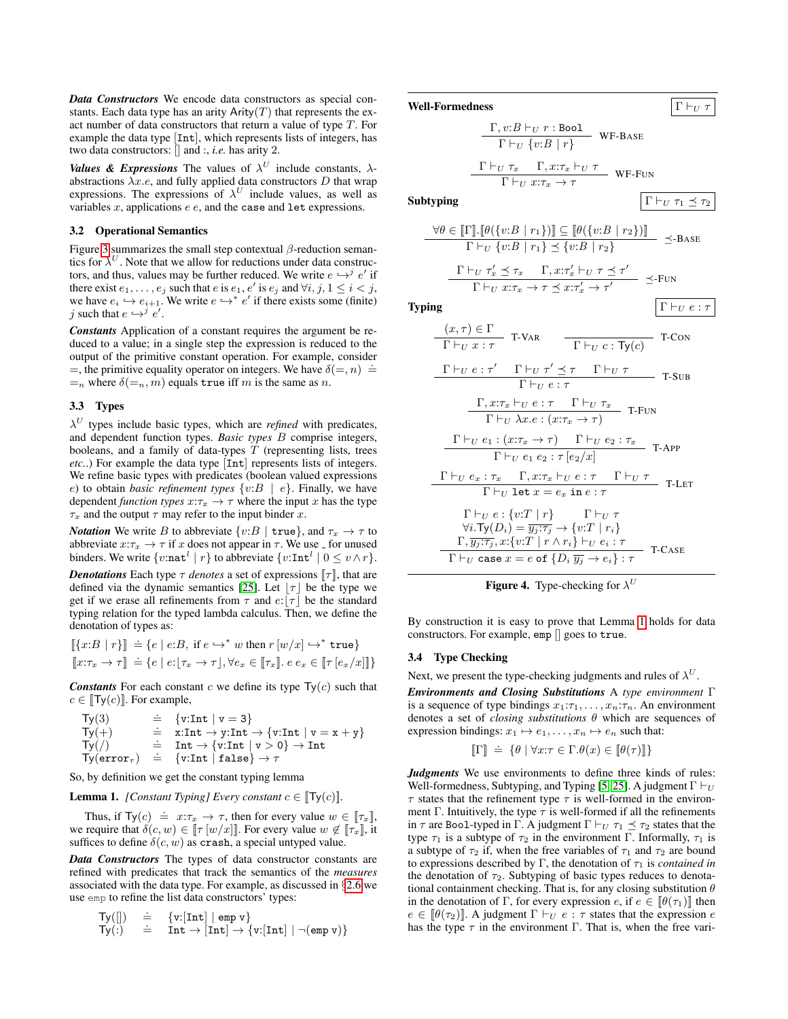*Data Constructors* We encode data constructors as special constants. Each data type has an arity  $Arity(T)$  that represents the exact number of data constructors that return a value of type T. For example the data type [Int], which represents lists of integers, has two data constructors: [] and :, *i.e.* has arity 2.

*Values & Expressions* The values of  $\lambda^U$  include constants,  $\lambda$ abstractions  $\lambda x.e$ , and fully applied data constructors D that wrap expressions. The expressions of  $\lambda^U$  include values, as well as variables  $x$ , applications  $e$   $e$ , and the case and let expressions.

# 3.2 Operational Semantics

Figure [3](#page-5-1) summarizes the small step contextual  $\beta$ -reduction semantics for  $\lambda^U$ . Note that we allow for reductions under data constructors, and thus, values may be further reduced. We write  $e \hookrightarrow^j e'$  if there exist  $e_1, \ldots, e_j$  such that  $e$  is  $e_1, e'$  is  $e_j$  and  $\forall i, j, 1 \le i < j$ , we have  $e_i \hookrightarrow e_{i+1}$ . We write  $e \hookrightarrow^* e'$  if there exists some (finite) j such that  $e \hookrightarrow^j e'$ .

*Constants* Application of a constant requires the argument be reduced to a value; in a single step the expression is reduced to the output of the primitive constant operation. For example, consider  $=$ , the primitive equality operator on integers. We have  $\delta (=, n) =$  $=$ <sub>n</sub> where  $\delta$ ( $=$ <sub>n</sub>, *m*) equals true iff *m* is the same as *n*.

# 3.3 Types

 $\lambda^U$  types include basic types, which are *refined* with predicates, and dependent function types. *Basic types* B comprise integers, booleans, and a family of data-types  $T$  (representing lists, trees *etc.*.) For example the data type [Int] represents lists of integers. We refine basic types with predicates (boolean valued expressions e) to obtain *basic refinement types*  $\{v:B \mid e\}$ . Finally, we have dependent *function types*  $x:\tau_x \to \tau$  where the input x has the type  $\tau_x$  and the output  $\tau$  may refer to the input binder x.

*Notation* We write B to abbreviate  $\{v:B \mid \text{true}\}$ , and  $\tau_x \to \tau$  to abbreviate  $x:\tau_x\to\tau$  if x does not appear in  $\tau$ . We use  $\bar{ }$  for unused binders. We write  $\{v:\texttt{nat}^l | r\}$  to abbreviate  $\{v:\texttt{Int}^l | 0 \le v \land r\}$ . *Denotations* Each type  $\tau$  *denotes* a set of expressions  $[\tau]$ , that are defined via the dynamic semantics [\[25\]](#page-14-6). Let  $|\tau|$  be the type we get if we erase all refinements from  $\tau$  and  $e:|\tau|$  be the standard typing relation for the typed lambda calculus. Then, we define the denotation of types as:

$$
\begin{aligned} [[\{x:B \mid r\}]] &= \{e \mid e:B, \text{ if } e \hookrightarrow^* w \text{ then } r \, [w/x] \hookrightarrow^* \text{true} \} \\ [[x:\tau_x \to \tau]] &= \{e \mid e:[\tau_x \to \tau], \forall e_x \in [\![\tau_x]\!], e \, e_x \in [\![\tau \, [e_x/x]\!]]\} \end{aligned}
$$

**Constants** For each constant c we define its type  $Ty(c)$  such that  $c \in \llbracket \textsf{Ty}(c) \rrbracket$ . For example,

$$
\begin{array}{lll} \text{Ty}(3)&\doteq&\{v:\text{Int}\mid v=3\}\\ \text{Ty}(+)&\doteq&x:\text{Int}\rightarrow y:\text{Int}\rightarrow \{v:\text{Int}\mid v=x+y\}\\ \text{Ty}(/)&\doteq&\text{Int}\rightarrow \{v:\text{Int}\mid v>0\}\rightarrow \text{Int}\\ \text{Ty}(\text{error}_{\tau})&\doteq&\{v:\text{Int}\mid \text{false}\}\rightarrow \tau \end{array}
$$

So, by definition we get the constant typing lemma

## <span id="page-6-0"></span>**Lemma 1.** *[Constant Typing] Every constant*  $c \in [T_y(c)]$ *.*

Thus, if  $\text{Ty}(c) \doteq x:\tau_x \to \tau$ , then for every value  $w \in [\![\tau_x]\!]$ , we require that  $\delta(c, w) \in [\![\tau [w/x]]\!]$ . For every value  $w \notin [\![\tau_x]\!]$ , it suffices to define  $\delta(c, w)$  as crash, a special untyped value.

*Data Constructors* The types of data constructor constants are refined with predicates that track the semantics of the *measures* associated with the data type. For example, as discussed in §[2.6](#page-4-4) we use emp to refine the list data constructors' types:

$$
\begin{array}{lll}\n\text{Ty([\text{]]})} & \doteq & \{v: [\text{Int}] \mid \text{emp } v\} \\
\text{Ty(:)} & \doteq & \text{Int} \rightarrow [\text{Int}] \rightarrow \{v: [\text{Int}] \mid \neg(\text{emp } v)\}\n\end{array}
$$

**Well-Formedness**  $\Gamma \vdash_U \tau$ 

$$
\frac{\Gamma, v:B \vdash_U r : \text{Bool}}{\Gamma \vdash_U \{v:B \mid r\}} \text{WF-BASE}
$$
\n
$$
\frac{\Gamma \vdash_U \tau_x \quad \Gamma, x: \tau_x \vdash_U \tau}{\Gamma \vdash_U \tau_x \quad \Gamma, x: \tau_x \vdash_U \tau} \text{WF-FUN}
$$

 $\overline{\Gamma \vdash_{\scriptscriptstyle{U}} x:\tau_x} \to \tau$ 

Subtyping  $\Gamma \vdash_U \tau_1 \prec \tau_2$ 

$$
\frac{\forall \theta \in [\![\Gamma]\!], [\![\theta(\{v:B \mid r_1\})]\!] \subseteq [\![\theta(\{v:B \mid r_2\})]\!] }{\Gamma \vdash_U \{v:B \mid r_1\} \preceq \{v:B \mid r_2\} } \preceq \text{-Base}
$$

$$
\frac{\Gamma \vdash_U \tau'_x \preceq \tau_x \quad \Gamma, x: \tau'_x \vdash_U \tau \preceq \tau'}{\Gamma \vdash_U x: \tau_x \rightarrow \tau \preceq x: \tau'_x \rightarrow \tau'} \preceq_{\text{FUN}}
$$

**Typing**  $\Gamma \vdash_U e : \tau$ 

$$
\frac{(x,\tau) \in \Gamma}{\Gamma \vdash_U x : \tau} \quad \text{T-VAR} \qquad \frac{\Gamma \vdash_U c : \text{Ty}(c)}{\Gamma \vdash_U c : \text{Ty}(c)} \quad \text{T-CON}
$$
\n
$$
\frac{\Gamma \vdash_U e : \tau' \qquad \Gamma \vdash_U \tau' \preceq \tau \qquad \Gamma \vdash_U \tau}{\Gamma \vdash_U e : \tau} \qquad \text{T-SUB}
$$
\n
$$
\frac{\Gamma, x : \tau_x \vdash_U e : \tau \qquad \Gamma \vdash_U \tau_x}{\Gamma \vdash_U \lambda x . e : (x : \tau_x \to \tau)} \quad \text{T-FUN}
$$
\n
$$
\frac{\Gamma \vdash_U e_1 : (x : \tau_x \to \tau) \qquad \Gamma \vdash_U e_2 : \tau_x}{\Gamma \vdash_U e_1 e_2 : \tau [e_2/x]} \quad \text{T-APP}
$$
\n
$$
\frac{\Gamma \vdash_U e x : \tau_x \qquad \Gamma, x : \tau_x \vdash_U e : \tau \qquad \Gamma \vdash_U \tau}{\Gamma \vdash_U \text{let } x = e_x \text{ in } e : \tau} \quad \text{T-LET}
$$
\n
$$
\frac{\Gamma \vdash_U e : \{v : T \mid r\} \qquad \Gamma \vdash_U \tau}{\Gamma, \overline{y}_j : \overline{\tau_j}, x : \{v : T \mid r \land r_i\} \vdash_U e_i : \tau} \quad \text{T-CASE}
$$

<span id="page-6-1"></span>

By construction it is easy to prove that Lemma [1](#page-6-0) holds for data constructors. For example, emp [] goes to true.

# 3.4 Type Checking

Next, we present the type-checking judgments and rules of  $\lambda^U$ .

*Environments and Closing Substitutions* A *type environment* Γ is a sequence of type bindings  $x_1:\tau_1,\ldots,x_n:\tau_n$ . An environment denotes a set of *closing substitutions* θ which are sequences of expression bindings:  $x_1 \mapsto e_1, \ldots, x_n \mapsto e_n$  such that:

$$
\llbracket \Gamma \rrbracket \ \doteq \ \{ \theta \mid \forall x{:}\tau \in \Gamma.\theta(x) \in \llbracket \theta(\tau) \rrbracket \}
$$

*Judgments* We use environments to define three kinds of rules: Well-formedness, Subtyping, and Typing [\[5,](#page-13-0) [25\]](#page-14-6). A judgment  $\Gamma \vdash_U$  $\tau$  states that the refinement type  $\tau$  is well-formed in the environment Γ. Intuitively, the type  $\tau$  is well-formed if all the refinements in  $\tau$  are Bool-typed in Γ. A judgment  $\Gamma \vdash_U \tau_1 \preceq \tau_2$  states that the type  $\tau_1$  is a subtype of  $\tau_2$  in the environment Γ. Informally,  $\tau_1$  is a subtype of  $\tau_2$  if, when the free variables of  $\tau_1$  and  $\tau_2$  are bound to expressions described by  $\Gamma$ , the denotation of  $\tau_1$  is *contained in* the denotation of  $\tau_2$ . Subtyping of basic types reduces to denotational containment checking. That is, for any closing substitution  $\theta$ in the denotation of Γ, for every expression e, if  $e \in [\theta(\tau_1)]$  then  $e \in [\theta(\tau_2)]$ . A judgment  $\Gamma \vdash_U e : \tau$  states that the expression e has the type  $\tau$  in the environment Γ. That is, when the free vari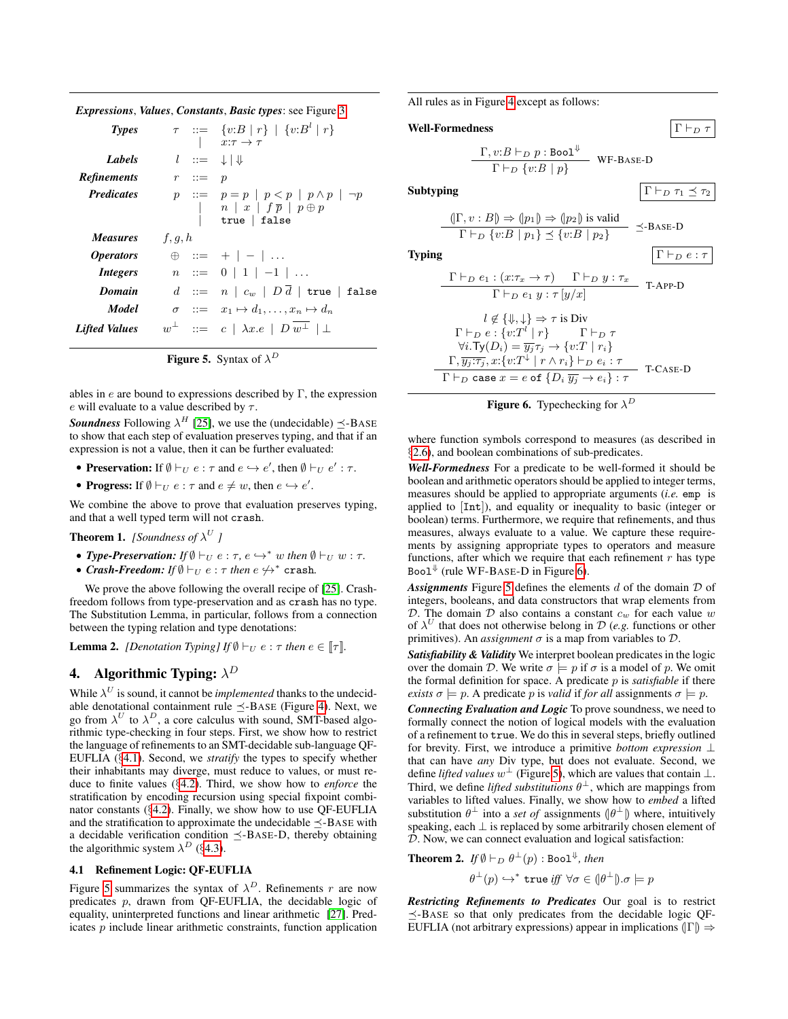*Expressions*, *Values*, *Constants*, *Basic types*: see Figure [3](#page-5-1)

| Types                   |         |                       | $\tau$ ::= $\{v:B \mid r\}$   $\{v:B^l \mid r\}$<br>$x:\tau\to\tau$                                                                                  |
|-------------------------|---------|-----------------------|------------------------------------------------------------------------------------------------------------------------------------------------------|
| <b>Labels</b>           |         |                       | $l \ ::= \ \downarrow   \Downarrow$                                                                                                                  |
| <b>Refinements</b>      |         | $r \quad ::= \quad p$ |                                                                                                                                                      |
| <b>Predicates</b>       |         |                       | $p ::= p = p   p < p   p \wedge p   \neg p$<br>$\begin{array}{c c} & n & x & f\overline{p} & p \oplus p \\ & \text{true} & \text{false} \end{array}$ |
|                         |         |                       |                                                                                                                                                      |
| <i>Measures</i>         | f, q, h |                       |                                                                                                                                                      |
| <i><b>Operators</b></i> |         |                       | $\oplus$ : $= + \, - \, \cdot \,$                                                                                                                    |
| <i>Integers</i>         |         |                       | $n := 0  1 -1  $                                                                                                                                     |
| Domain                  |         |                       | $d \text{ } ::= \text{ } n \text{ }   \text{ } c_w \text{ }   \text{ } D \text{ } \overline{d} \text{ }  $ true   false                              |
| Model                   |         |                       | $\sigma$ : $x_1 \mapsto d_1, \ldots, x_n \mapsto d_n$                                                                                                |

<span id="page-7-3"></span>

ables in e are bound to expressions described by  $\Gamma$ , the expression e will evaluate to a value described by  $\tau$ .

**Soundness** Following  $\lambda^H$  [\[25\]](#page-14-6), we use the (undecidable)  $\leq$ -BASE to show that each step of evaluation preserves typing, and that if an expression is not a value, then it can be further evaluated:

- Preservation: If  $\emptyset \vdash_U e : \tau$  and  $e \hookrightarrow e'$ , then  $\emptyset \vdash_U e' : \tau$ .
- **Progress:** If  $\emptyset \vdash_U e : \tau$  and  $e \neq w$ , then  $e \hookrightarrow e'$ .

We combine the above to prove that evaluation preserves typing, and that a well typed term will not crash.

<span id="page-7-6"></span>**Theorem 1.** *[Soundness of*  $\lambda^U$  *]* 

- **Type-Preservation:** If  $\emptyset \vdash_U e : \tau, e \hookrightarrow^* w$  then  $\emptyset \vdash_U w : \tau$ .
- *Crash-Freedom:* If  $\emptyset \vdash_U e : \tau$  *then*  $e \not\leftrightarrow^*$  crash.

We prove the above following the overall recipe of [\[25\]](#page-14-6). Crashfreedom follows from type-preservation and as crash has no type. The Substitution Lemma, in particular, follows from a connection between the typing relation and type denotations:

<span id="page-7-5"></span>**Lemma 2.** *[Denotation Typing] If*  $\emptyset \vdash_U e : \tau$  *then*  $e \in [\tau]$ *.* 

# <span id="page-7-0"></span>4. Algorithmic Typing:  $\lambda^D$

While  $\lambda^U$  is sound, it cannot be *implemented* thanks to the undecidable denotational containment rule  $\preceq$ -BASE (Figure [4\)](#page-6-1). Next, we go from  $\lambda^U$  to  $\lambda^D$ , a core calculus with sound, SMT-based algorithmic type-checking in four steps. First, we show how to restrict the language of refinements to an SMT-decidable sub-language QF-EUFLIA (§[4.1\)](#page-7-2). Second, we *stratify* the types to specify whether their inhabitants may diverge, must reduce to values, or must reduce to finite values (§[4.2\)](#page-8-0). Third, we show how to *enforce* the stratification by encoding recursion using special fixpoint combinator constants (§[4.2\)](#page-8-1). Finally, we show how to use QF-EUFLIA and the stratification to approximate the undecidable  $\preceq$ -BASE with a decidable verification condition  $\preceq$ -BASE-D, thereby obtaining the algorithmic system  $\lambda^D$  (§[4.3\)](#page-9-2).

# <span id="page-7-2"></span>4.1 Refinement Logic: QF-EUFLIA

Figure [5](#page-7-3) summarizes the syntax of  $\lambda^D$ . Refinements r are now predicates p, drawn from QF-EUFLIA, the decidable logic of equality, uninterpreted functions and linear arithmetic [\[27\]](#page-14-14). Predicates p include linear arithmetic constraints, function application All rules as in Figure [4](#page-6-1) except as follows:

```
Well-Formedness \Gamma \vdash_D \tau
```

$$
\frac{\Gamma, v:B \vdash_D p : \text{Bool}^{\Downarrow}}{\Gamma \vdash_D \{v:B \mid p\}} \text{ WF-Base-D}
$$

Subtyping  $\Gamma \vdash_D \tau_1 \preceq \tau_2$ 

$$
\frac{\langle \vert \Gamma, v : B \vert \rangle \Rightarrow \langle \vert p_1 \vert \rangle \Rightarrow \langle \vert p_2 \rangle \text{ is valid}}{\Gamma \vdash_D \{v : B \mid p_1\} \preceq \{v : B \mid p_2\}} \preceq_{\text{BASE-D}}
$$

Typing  $\Gamma \vdash_D e : \tau$ 

$$
\frac{\Gamma \vdash_D e_1 : (x:\tau_x \to \tau) \quad \Gamma \vdash_D y : \tau_x}{\Gamma \vdash_D e_1 y : \tau [y/x]} \quad \text{T-APP-D}
$$
\n
$$
l \notin \{\mathbb{J}, \mathbb{J}\} \Rightarrow \tau \text{ is Div}
$$
\n
$$
\Gamma \vdash_D e : \{v : T^l \mid r\} \quad \Gamma \vdash_D \tau
$$
\n
$$
\forall i. \text{Ty}(D_i) = \overline{y_j} \tau_j \to \{v : T \mid r_i\}
$$
\n
$$
\frac{\Gamma, \overline{y_j} : \overline{\tau_j}, x : \{v : T^{\perp} \mid r \land r_i\} \vdash_D e_i : \tau}{\Gamma \vdash_D \text{ case } x = e \text{ of } \{D_i \overline{y_j} \to e_i\} : \tau} \quad \text{T-CASE-D}
$$

<span id="page-7-1"></span>

where function symbols correspond to measures (as described in §[2.6\)](#page-4-4), and boolean combinations of sub-predicates.

*Well-Formedness* For a predicate to be well-formed it should be boolean and arithmetic operators should be applied to integer terms, measures should be applied to appropriate arguments (*i.e.* emp is applied to [Int]), and equality or inequality to basic (integer or boolean) terms. Furthermore, we require that refinements, and thus measures, always evaluate to a value. We capture these requirements by assigning appropriate types to operators and measure functions, after which we require that each refinement  $r$  has type Boo $1^{\Downarrow}$  (rule WF-BASE-D in Figure [6\)](#page-7-1).

*Assignments* Figure [5](#page-7-3) defines the elements d of the domain D of integers, booleans, and data constructors that wrap elements from D. The domain D also contains a constant  $c_w$  for each value w of  $\lambda^U$  that does not otherwise belong in  $\mathcal D$  (*e.g.* functions or other primitives). An *assignment*  $\sigma$  is a map from variables to  $\mathcal{D}$ .

*Satisfiability & Validity* We interpret boolean predicates in the logic over the domain D. We write  $\sigma \models p$  if  $\sigma$  is a model of p. We omit the formal definition for space. A predicate p is *satisfiable* if there *exists*  $\sigma \models p$ . A predicate p is *valid* if *for all* assignments  $\sigma \models p$ .

*Connecting Evaluation and Logic* To prove soundness, we need to formally connect the notion of logical models with the evaluation of a refinement to true. We do this in several steps, briefly outlined for brevity. First, we introduce a primitive *bottom expression* ⊥ that can have *any* Div type, but does not evaluate. Second, we define *lifted values*  $w^{\perp}$  (Figure [5\)](#page-7-3), which are values that contain  $\perp$ . Third, we define *lifted substitutions*  $\theta^{\perp}$ , which are mappings from variables to lifted values. Finally, we show how to *embed* a lifted substitution  $\theta^{\perp}$  into a *set of* assignments  $(\theta^{\perp})$  where, intuitively speaking, each ⊥ is replaced by some arbitrarily chosen element of D. Now, we can connect evaluation and logical satisfaction:

<span id="page-7-4"></span>**Theorem 2.** If  $\emptyset \vdash_D \theta^{\perp}(p)$  : Bool<sup> $\Downarrow$ </sup>, then

$$
\theta^{\perp}(p) \hookrightarrow^* \mathtt{true} \mathit{iff} \ \forall \sigma \in (\theta^{\perp}\mathcal{)} \ldotp \sigma \models p
$$

*Restricting Refinements to Predicates* Our goal is to restrict  $\preceq$ -BASE so that only predicates from the decidable logic QF-EUFLIA (not arbitrary expressions) appear in implications  $(|\Gamma|) \Rightarrow$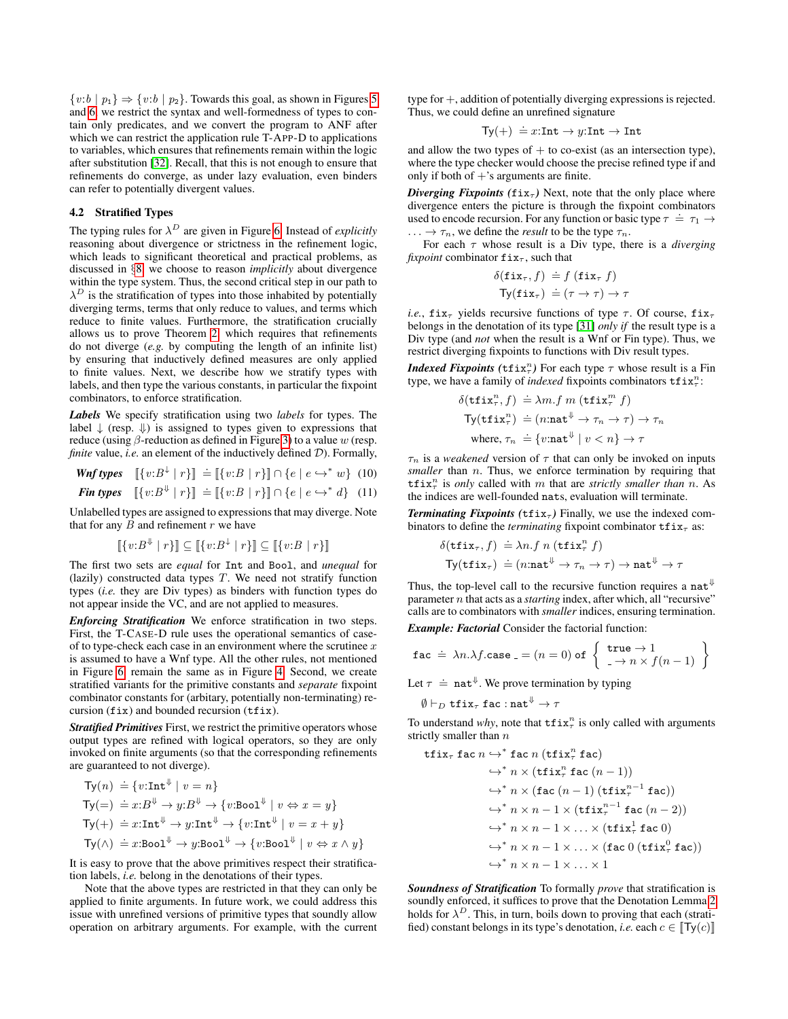$\{v:b \mid p_1\} \Rightarrow \{v:b \mid p_2\}$ . Towards this goal, as shown in Figures [5](#page-7-3) and [6,](#page-7-1) we restrict the syntax and well-formedness of types to contain only predicates, and we convert the program to ANF after which we can restrict the application rule T-APP-D to applications to variables, which ensures that refinements remain within the logic after substitution [\[32\]](#page-14-3). Recall, that this is not enough to ensure that refinements do converge, as under lazy evaluation, even binders can refer to potentially divergent values.

# <span id="page-8-0"></span>4.2 Stratified Types

The typing rules for  $\lambda^D$  are given in Figure [6.](#page-7-1) Instead of *explicitly* reasoning about divergence or strictness in the refinement logic, which leads to significant theoretical and practical problems, as discussed in §[8,](#page-12-0) we choose to reason *implicitly* about divergence within the type system. Thus, the second critical step in our path to  $\lambda^D$  is the stratification of types into those inhabited by potentially diverging terms, terms that only reduce to values, and terms which reduce to finite values. Furthermore, the stratification crucially allows us to prove Theorem [2,](#page-7-4) which requires that refinements do not diverge (*e.g.* by computing the length of an infinite list) by ensuring that inductively defined measures are only applied to finite values. Next, we describe how we stratify types with labels, and then type the various constants, in particular the fixpoint combinators, to enforce stratification.

*Labels* We specify stratification using two *labels* for types. The label  $\downarrow$  (resp.  $\downarrow$ ) is assigned to types given to expressions that reduce (using  $\beta$ -reduction as defined in Figure [3\)](#page-5-1) to a value w (resp. *finite* value, *i.e.* an element of the inductively defined  $D$ ). Formally,

**Wnf types** 
$$
[[v:B^{\downarrow} | r]] = [[v:B | r]] \cap \{e \mid e \hookrightarrow^* w\}
$$
 (10)

↓

**Fin types** 
$$
\llbracket \{v:B^{\downarrow} \mid r\} \rrbracket \doteq \llbracket \{v:B \mid r\} \rrbracket \cap \{e \mid e \hookrightarrow^* d\} \quad (11)
$$

Unlabelled types are assigned to expressions that may diverge. Note that for any  $B$  and refinement  $r$  we have

$$
\left[ \{ v:B^{\downarrow} \mid r \} \right] \subseteq \left[ \{ v:B^{\downarrow} \mid r \} \right] \subseteq \left[ \{ v:B \mid r \} \right]
$$

The first two sets are *equal* for Int and Bool, and *unequal* for (lazily) constructed data types  $T$ . We need not stratify function types (*i.e.* they are Div types) as binders with function types do not appear inside the VC, and are not applied to measures.

*Enforcing Stratification* We enforce stratification in two steps. First, the T-CASE-D rule uses the operational semantics of caseof to type-check each case in an environment where the scrutinee  $x$ is assumed to have a Wnf type. All the other rules, not mentioned in Figure [6,](#page-7-1) remain the same as in Figure [4.](#page-6-1) Second, we create stratified variants for the primitive constants and *separate* fixpoint combinator constants for (arbitary, potentially non-terminating) recursion (fix) and bounded recursion (tfix).

*Stratified Primitives* First, we restrict the primitive operators whose output types are refined with logical operators, so they are only invoked on finite arguments (so that the corresponding refinements are guaranteed to not diverge).

$$
\begin{aligned}\n\operatorname{Ty}(n) &\doteq \{v:\operatorname{Int}^{\Downarrow} \mid v = n\} \\
\operatorname{Ty}(\equiv) &\doteq x:B^{\Downarrow} \rightarrow y:B^{\Downarrow} \rightarrow \{v:\operatorname{Bool}^{\Downarrow} \mid v \Leftrightarrow x = y\} \\
\operatorname{Ty}(+) &\doteq x:\operatorname{Int}^{\Downarrow} \rightarrow y:\operatorname{Int}^{\Downarrow} \rightarrow \{v:\operatorname{Int}^{\Downarrow} \mid v = x + y\} \\
\operatorname{Ty}(\wedge) &\doteq x:\operatorname{Bool}^{\Downarrow} \rightarrow y:\operatorname{Bool}^{\Downarrow} \rightarrow \{v:\operatorname{Bool}^{\Downarrow} \mid v \Leftrightarrow x \wedge y\}\n\end{aligned}
$$

It is easy to prove that the above primitives respect their stratification labels, *i.e.* belong in the denotations of their types.

Note that the above types are restricted in that they can only be applied to finite arguments. In future work, we could address this issue with unrefined versions of primitive types that soundly allow operation on arbitrary arguments. For example, with the current type for +, addition of potentially diverging expressions is rejected. Thus, we could define an unrefined signature

$$
Ty(+) \doteq x:\text{Int} \to y:\text{Int} \to \text{Int}
$$

and allow the two types of  $+$  to co-exist (as an intersection type), where the type checker would choose the precise refined type if and only if both of  $+$ 's arguments are finite.

*Diverging Fixpoints (fix<sub>T</sub>)* Next, note that the only place where divergence enters the picture is through the fixpoint combinators used to encode recursion. For any function or basic type  $\tau = \tau_1 \rightarrow$  $\ldots \rightarrow \tau_n$ , we define the *result* to be the type  $\tau_n$ .

For each  $\tau$  whose result is a Div type, there is a *diverging fixpoint* combinator  $fix_{\tau}$ , such that

$$
\delta(\texttt{fix}_{\tau}, f) \doteq f (\texttt{fix}_{\tau} f)
$$

$$
\textsf{Ty}(\texttt{fix}_{\tau}) \doteq (\tau \to \tau) \to \tau
$$

*i.e.*,  $fix_{\tau}$  yields recursive functions of type  $\tau$ . Of course,  $fix_{\tau}$ belongs in the denotation of its type [\[31\]](#page-14-15) *only if* the result type is a Div type (and *not* when the result is a Wnf or Fin type). Thus, we restrict diverging fixpoints to functions with Div result types.

*Indexed Fixpoints* ( $\text{tfix}_\tau^n$ ) For each type  $\tau$  whose result is a Fin type, we have a family of *indexed* fixpoints combinators  $\texttt{tfix}^n$ :

$$
\delta(\mathbf{tfix}_{\tau}^n, f) \doteq \lambda m.f \ m \ (\mathbf{tfix}_{\tau}^m \ f)
$$

$$
\mathsf{Ty}(\mathbf{tfix}_{\tau}^n) \doteq (n:\mathtt{nat}^{\Downarrow} \to \tau_n \to \tau) \to \tau_n
$$

$$
\text{where, } \tau_n \doteq \{v:\mathtt{nat}^{\Downarrow} \mid v < n\} \to \tau
$$

<span id="page-8-2"></span><span id="page-8-1"></span> $\tau_n$  is a *weakened* version of  $\tau$  that can only be invoked on inputs *smaller* than *n*. Thus, we enforce termination by requiring that  $\texttt{tfix}^n_{\tau}$  is *only* called with m that are *strictly smaller than* n. As the indices are well-founded nats, evaluation will terminate.

*Terminating Fixpoints* ( $\text{tfix}_\tau$ ) Finally, we use the indexed combinators to define the *terminating* fixpoint combinator  $tfix_\tau$  as:

$$
\delta(\mathbf{tfix}_{\tau}, f) \doteq \lambda n.f \; n \; (\mathbf{tfix}_{\tau}^n \; f)
$$
\n
$$
\mathsf{Ty}(\mathbf{tfix}_{\tau}) \; \doteq \; (n:\mathtt{nat}^{\Downarrow} \to \tau_n \to \tau) \to \mathtt{nat}^{\Downarrow} \to \tau
$$

Thus, the top-level call to the recursive function requires a nat<sup> $\psi$ </sup> parameter n that acts as a *starting* index, after which, all "recursive" calls are to combinators with *smaller* indices, ensuring termination.

*Example: Factorial* Consider the factorial function:

$$
\texttt{fac} \doteq \lambda n.\lambda f.\texttt{case} = (n = 0) \texttt{ of } \left\{ \begin{array}{l} \texttt{true} \rightarrow 1 \\ -\rightarrow n \times f(n-1) \end{array} \right\}
$$

Let  $\tau \doteq \texttt{nat}^{\Downarrow}$ . We prove termination by typing

$$
\emptyset \vdash_D \mathtt{tfix}_\tau \mathtt{fac} : \mathtt{nat}^\Downarrow \to \tau
$$

To understand *why*, note that  $\text{tfix}_\tau^n$  is only called with arguments strictly smaller than  $n$ 

$$
\begin{aligned}\n\text{tfix}_{\tau} \text{ fac } n &\leftrightarrow^* \text{fac } n \text{ (tfix}_{\tau}^n \text{ fac}) \\
&\leftrightarrow^* n \times (\text{tfix}_{\tau}^n \text{ fac } (n-1)) \\
&\leftrightarrow^* n \times (\text{fac } (n-1) \text{ (tfix}_{\tau}^{n-1} \text{ fac})) \\
&\leftrightarrow^* n \times n - 1 \times (\text{tfix}_{\tau}^{n-1} \text{ fac } (n-2)) \\
&\leftrightarrow^* n \times n - 1 \times \ldots \times (\text{tfix}_{\tau}^1 \text{ fac } 0) \\
&\leftrightarrow^* n \times n - 1 \times \ldots \times (\text{fac } 0 \text{ (tfix}_{\tau}^0 \text{ fac})) \\
&\leftrightarrow^* n \times n - 1 \times \ldots \times 1\n\end{aligned}
$$

*Soundness of Stratification* To formally *prove* that stratification is soundly enforced, it suffices to prove that the Denotation Lemma [2](#page-7-5) holds for  $\lambda^D$ . This, in turn, boils down to proving that each (stratified) constant belongs in its type's denotation, *i.e.* each  $c \in [Ty(c)]$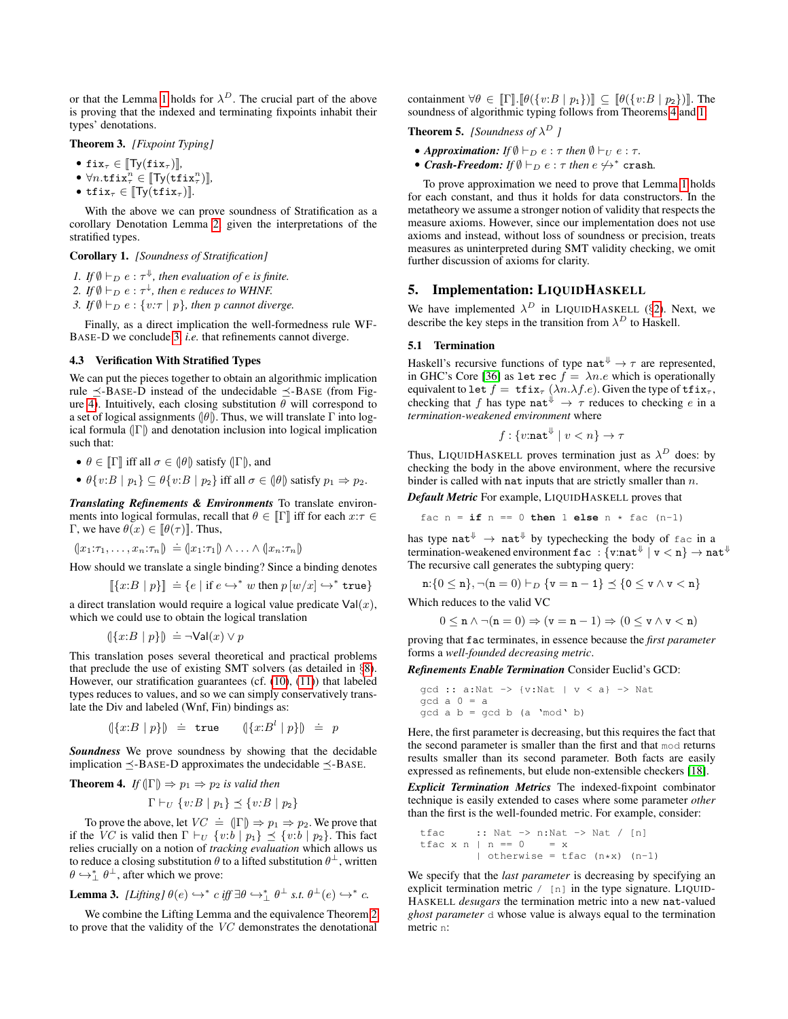or that the Lemma [1](#page-6-0) holds for  $\lambda^D$ . The crucial part of the above is proving that the indexed and terminating fixpoints inhabit their types' denotations.

# Theorem 3. *[Fixpoint Typing]*

- fix $_{\tau} \in$   $[Ty(fix_{\tau})]$ *,*
- $\forall n.\mathtt{tfix}_\tau^n \in [\![\mathsf{Ty}(\mathtt{tfix}_\tau^n)]\!]$ ,
- tfix<sub> $\tau \in \llbracket \text{Ty}(\text{tfix}_{\tau}) \rrbracket$ *.*</sub>

With the above we can prove soundness of Stratification as a corollary Denotation Lemma [2,](#page-7-5) given the interpretations of the stratified types.

#### <span id="page-9-1"></span>Corollary 1. *[Soundness of Stratification]*

- *1.* If  $\emptyset \vdash_D e : \tau^{\Downarrow}$ , then evaluation of e is finite.
- 2. If  $\emptyset \vdash_D e : \tau^{\downarrow}$ , then  $e$  *reduces to WHNF.*

<span id="page-9-3"></span>*3. If*  $\emptyset \vdash_D e : \{v:\tau \mid p\}$ , then p cannot diverge.

Finally, as a direct implication the well-formedness rule WF-BASE-D we conclude [3,](#page-9-3) *i.e.* that refinements cannot diverge.

# <span id="page-9-2"></span>4.3 Verification With Stratified Types

We can put the pieces together to obtain an algorithmic implication rule  $\leq$ -BASE-D instead of the undecidable  $\leq$ -BASE (from Fig-ure [4\)](#page-6-1). Intuitively, each closing substitution  $\theta$  will correspond to a set of logical assignments ( $|\theta|$ ). Thus, we will translate Γ into logical formula  $(\Gamma)$  and denotation inclusion into logical implication such that:

•  $\theta \in [\![\Gamma]\!]$  iff all  $\sigma \in (\![\theta]\!]$  satisfy  $(\![\Gamma]\!])$ , and

•  $\theta\{v:B \mid p_1\} \subseteq \theta\{v:B \mid p_2\}$  iff all  $\sigma \in (\theta)$  satisfy  $p_1 \Rightarrow p_2$ .

*Translating Refinements & Environments* To translate environments into logical formulas, recall that  $\theta \in \mathbb{I} \Gamma \mathbb{I}$  iff for each  $x:\tau \in \mathbb{I}$ Γ, we have  $\theta(x) \in [\![\theta(\tau)]\!]$ . Thus,

 $(x_1:\tau_1,\ldots,x_n:\tau_n) \doteq (x_1:\tau_1) \wedge \ldots \wedge (x_n:\tau_n)$ 

How should we translate a single binding? Since a binding denotes

$$
\llbracket \{x:B \mid p\} \rrbracket \doteq \{e \mid \text{if } e \hookrightarrow^* w \text{ then } p \left[ w/x \right] \hookrightarrow^* \text{true} \}
$$

a direct translation would require a logical value predicate  $Val(x)$ , which we could use to obtain the logical translation

$$
(\{x:B \mid p\}) \doteq \neg \mathsf{Val}(x) \lor p
$$

This translation poses several theoretical and practical problems that preclude the use of existing SMT solvers (as detailed in §[8\)](#page-12-0). However, our stratification guarantees (cf. [\(10\)](#page-8-2), [\(11\)](#page-8-1)) that labeled types reduces to values, and so we can simply conservatively translate the Div and labeled (Wnf, Fin) bindings as:

$$
(\{x:B \mid p\}) \doteq \text{true} \qquad (\{x:B^l \mid p\}) \doteq p
$$

*Soundness* We prove soundness by showing that the decidable implication  $\preceq$ -BASE-D approximates the undecidable  $\preceq$ -BASE.

<span id="page-9-4"></span>**Theorem 4.** If 
$$
(|\Gamma|) \Rightarrow p_1 \Rightarrow p_2
$$
 is valid then

 $\Gamma \vdash_U \{v:B \mid p_1\} \preceq \{v:B \mid p_2\}$ 

To prove the above, let  $VC \doteq (\vert \Gamma \vert) \Rightarrow p_1 \Rightarrow p_2$ . We prove that if the VC is valid then  $\Gamma \vdash_U \{v : b \mid p_1\} \preceq \{v : b \mid p_2\}$ . This fact relies crucially on a notion of *tracking evaluation* which allows us to reduce a closing substitution  $\theta$  to a lifted substitution  $\theta^{\perp}$ , written  $\theta \hookrightarrow_{\perp}^* \theta^{\perp}$ , after which we prove:

**Lemma 3.** [Lifting] 
$$
\theta(e) \hookrightarrow^* c
$$
 iff  $\exists \theta \hookrightarrow^*_{\perp} \theta^{\perp}$  s.t.  $\theta^{\perp}(e) \hookrightarrow^* c$ .

We combine the Lifting Lemma and the equivalence Theorem [2](#page-7-4) to prove that the validity of the VC demonstrates the denotational containment  $\forall \theta \in [\![\Gamma]\!]$ .  $[\![\theta({v:B | p_1})\!] \subseteq [\![\theta({v:B | p_2})\!]$ . The soundness of algorithmic typing follows from Theorems [4](#page-9-4) and [1:](#page-7-6)

**Theorem 5.** *[Soundness of*  $\lambda^D$  *]* 

- *Approximation: If*  $\emptyset \vdash_D e : \tau$  *then*  $\emptyset \vdash_U e : \tau$ *.*
- *Crash-Freedom:* If  $\emptyset \vdash_D e : \tau$  *then*  $e \not\leftrightarrow^*$  crash.

To prove approximation we need to prove that Lemma [1](#page-6-0) holds for each constant, and thus it holds for data constructors. In the metatheory we assume a stronger notion of validity that respects the measure axioms. However, since our implementation does not use axioms and instead, without loss of soundness or precision, treats measures as uninterpreted during SMT validity checking, we omit further discussion of axioms for clarity.

# <span id="page-9-0"></span>5. Implementation: LIQUIDHASKELL

We have implemented  $\lambda^D$  in LIQUIDHASKELL (§[2\)](#page-0-0). Next, we describe the key steps in the transition from  $\lambda^D$  to Haskell.

#### 5.1 Termination

Haskell's recursive functions of type nat<sup> $\psi \rightarrow \tau$ </sup> are represented, in GHC's Core [\[36\]](#page-14-13) as let rec  $f = \lambda n.e$  which is operationally equivalent to let  $f = \text{tfix}_{\tau}(\lambda n.\lambda f.e)$ . Given the type of  $\text{tfix}_{\tau}$ , checking that f has type nat<sup> $\psi \rightarrow \tau$ </sup> reduces to checking e in a *termination-weakened environment* where

$$
f: \{v:\mathtt{nat}^{\Downarrow} \mid v < n\} \to \tau
$$

Thus, LIQUIDHASKELL proves termination just as  $\lambda^D$  does: by checking the body in the above environment, where the recursive binder is called with nat inputs that are strictly smaller than  $n$ .

*Default Metric* For example, LIQUIDHASKELL proves that

fac  $n = if n == 0 then 1 else n * fac (n-1)$ 

has type  $nat^{\Downarrow} \rightarrow nat^{\Downarrow}$  by typechecking the body of fac in a termination-weakened environment  $\mathtt{fac} : \{\mathtt{v} : \mathtt{nat}^\Downarrow \mid \mathtt{v} < \mathtt{n}\} \to \mathtt{nat}^\Downarrow$ The recursive call generates the subtyping query:

$$
\texttt{n} \mathpunct{:} \{0 \leq \texttt{n}\}, \neg(\texttt{n} = 0) \vdash_D \{\texttt{v} = \texttt{n} - 1\} \preceq \{\texttt{0} \leq \texttt{v} \wedge \texttt{v} < \texttt{n}\}
$$

Which reduces to the valid VC

$$
0 \leq \mathbf{n} \land \neg(\mathbf{n} = 0) \Rightarrow (\mathbf{v} = \mathbf{n} - 1) \Rightarrow (0 \leq \mathbf{v} \land \mathbf{v} < \mathbf{n})
$$

proving that fac terminates, in essence because the *first parameter* forms a *well-founded decreasing metric*.

#### *Refinements Enable Termination* Consider Euclid's GCD:

$$
\gcd :: a:\text{Nat} \rightarrow \{v:\text{Nat} \mid v < a\} \rightarrow \text{Nat}
$$
\n
$$
\gcd a 0 = a
$$
\n
$$
\gcd a b = \gcd b \text{ (a 'mod ' b)}
$$

Here, the first parameter is decreasing, but this requires the fact that the second parameter is smaller than the first and that mod returns results smaller than its second parameter. Both facts are easily expressed as refinements, but elude non-extensible checkers [\[18\]](#page-14-16).

*Explicit Termination Metrics* The indexed-fixpoint combinator technique is easily extended to cases where some parameter *other* than the first is the well-founded metric. For example, consider:

```
\n
$$
\text{tfac} : : \text{Nat} \rightarrow n:\text{Nat} \rightarrow \text{Nat} / [n]
$$
\n $\text{tfac} x n | n == 0 = x$ \n $| \text{otherwise} = \text{tfac} (n * x) (n-1)$ \n
```

We specify that the *last parameter* is decreasing by specifying an explicit termination metric / [n] in the type signature. LIQUID-HASKELL *desugars* the termination metric into a new nat-valued *ghost parameter* d whose value is always equal to the termination metric n: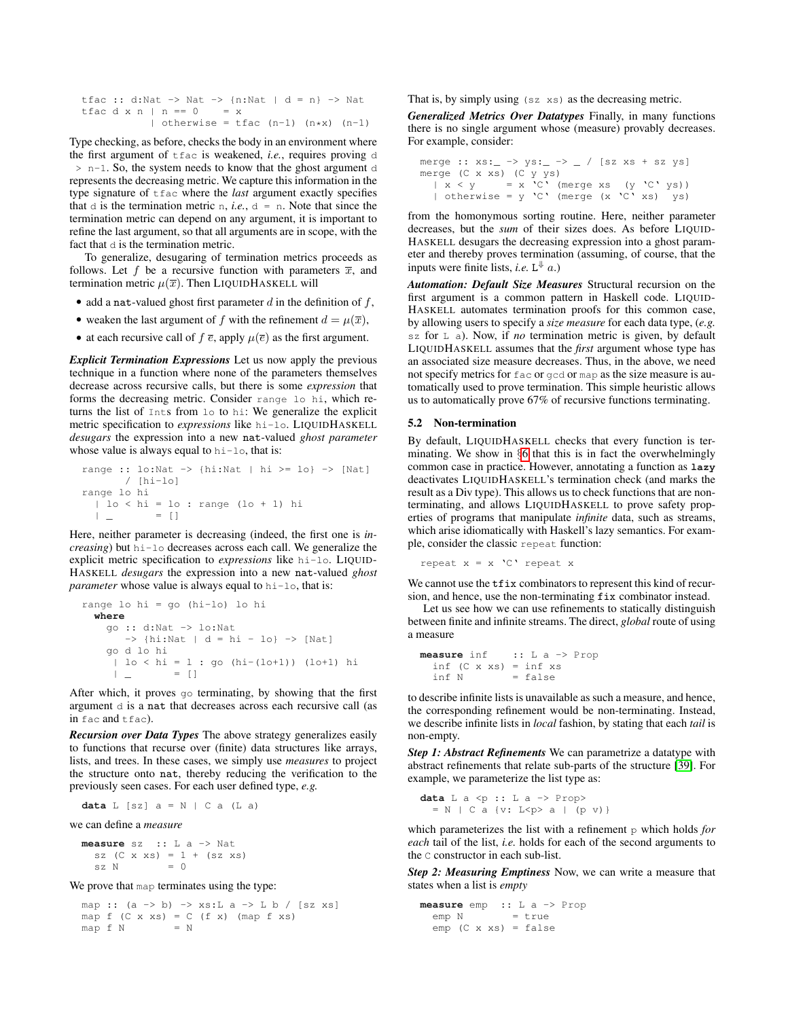|                      |  |  |  |  | tfac :: d:Nat -> Nat -> {n:Nat   d = n} -> Nat |  |  |  |
|----------------------|--|--|--|--|------------------------------------------------|--|--|--|
| tfacdxn   n == 0 = x |  |  |  |  |                                                |  |  |  |
|                      |  |  |  |  | otherwise = tfac $(n-1)$ $(n*x)$ $(n-1)$       |  |  |  |

Type checking, as before, checks the body in an environment where the first argument of tfac is weakened, *i.e.*, requires proving d > n-1. So, the system needs to know that the ghost argument d represents the decreasing metric. We capture this information in the type signature of tfac where the *last* argument exactly specifies that  $d$  is the termination metric n, *i.e.*,  $d = n$ . Note that since the termination metric can depend on any argument, it is important to refine the last argument, so that all arguments are in scope, with the fact that  $d$  is the termination metric.

To generalize, desugaring of termination metrics proceeds as follows. Let f be a recursive function with parameters  $\overline{x}$ , and termination metric  $\mu(\overline{x})$ . Then LIQUIDHASKELL will

- add a nat-valued ghost first parameter  $d$  in the definition of  $f$ ,
- weaken the last argument of f with the refinement  $d = \mu(\overline{x})$ ,
- at each recursive call of  $f \overline{e}$ , apply  $\mu(\overline{e})$  as the first argument.

*Explicit Termination Expressions* Let us now apply the previous technique in a function where none of the parameters themselves decrease across recursive calls, but there is some *expression* that forms the decreasing metric. Consider range lo hi, which returns the list of Ints from lo to hi: We generalize the explicit metric specification to *expressions* like hi-lo. LIQUIDHASKELL *desugars* the expression into a new nat-valued *ghost parameter* whose value is always equal to hi-lo, that is:

```
range :: \text{lo:Nat} \rightarrow \{\text{hi:Nat} \mid \text{hi} \geq 10\} \rightarrow \{\text{Nat}\}/ [hi-lo]
range lo hi
   | lo < hi = lo : range (lo + 1) hi
   \begin{array}{cccc} | & \_ & = & [ \ ] \end{array}
```
Here, neither parameter is decreasing (indeed, the first one is *increasing*) but hi-lo decreases across each call. We generalize the explicit metric specification to *expressions* like hi-lo. LIQUID-HASKELL *desugars* the expression into a new nat-valued *ghost parameter* whose value is always equal to hi-lo, that is:

```
range lo hi = go (hi-lo) lo hi
  where
     go :: d:Nat -> lo:Nat
        \rightarrow {hi:Nat | d = hi - lo} -> [Nat]
     go d lo hi
      | lo < hi = 1 : go (hi-(lo+1)) (lo+1) hi
      \begin{array}{ccc} | & \underline{\quad} & | \end{array}
```
After which, it proves go terminating, by showing that the first argument d is a nat that decreases across each recursive call (as in fac and tfac).

*Recursion over Data Types* The above strategy generalizes easily to functions that recurse over (finite) data structures like arrays, lists, and trees. In these cases, we simply use *measures* to project the structure onto nat, thereby reducing the verification to the previously seen cases. For each user defined type, *e.g.*

**data**  $L$  [sz]  $a = N$  | C a (L a)

we can define a *measure*

**measure** sz :: L a -> Nat sz  $(C \times xs) = 1 + (sz xs)$  $sz \tN = 0$ 

We prove that map terminates using the type:

map ::  $(a \rightarrow b) \rightarrow xs:L a \rightarrow L b / [sz xs]$ map f (C x xs) = C (f x) (map f xs)<br>map f N = N map f N

That is, by simply using (sz xs) as the decreasing metric.

*Generalized Metrics Over Datatypes* Finally, in many functions there is no single argument whose (measure) provably decreases. For example, consider:

```
merge :: xs:- \rightarrow ys:- \rightarrow / [sz xs + sz ys]
merge (C x xs) (C y ys)
  | x < y = x 'C' (merge xs (y 'C' ys))
  | otherwise = y'C' (merge (x'C' xs) ys)
```
from the homonymous sorting routine. Here, neither parameter decreases, but the *sum* of their sizes does. As before LIQUID-HASKELL desugars the decreasing expression into a ghost parameter and thereby proves termination (assuming, of course, that the inputs were finite lists, *i.e.*  $L^{\Downarrow}$  *a.*)

*Automation: Default Size Measures* Structural recursion on the first argument is a common pattern in Haskell code. LIQUID-HASKELL automates termination proofs for this common case, by allowing users to specify a *size measure* for each data type, (*e.g.* sz for L a). Now, if *no* termination metric is given, by default LIQUIDHASKELL assumes that the *first* argument whose type has an associated size measure decreases. Thus, in the above, we need not specify metrics for fac or gcd or map as the size measure is automatically used to prove termination. This simple heuristic allows us to automatically prove 67% of recursive functions terminating.

#### 5.2 Non-termination

By default, LIQUIDHASKELL checks that every function is terminating. We show in §[6](#page-11-0) that this is in fact the overwhelmingly common case in practice. However, annotating a function as **lazy** deactivates LIQUIDHASKELL's termination check (and marks the result as a Div type). This allows us to check functions that are nonterminating, and allows LIQUIDHASKELL to prove safety properties of programs that manipulate *infinite* data, such as streams, which arise idiomatically with Haskell's lazy semantics. For example, consider the classic repeat function:

repeat  $x = x 'C'$  repeat x

We cannot use the  $\text{tfix}$  combinators to represent this kind of recursion, and hence, use the non-terminating fix combinator instead.

Let us see how we can use refinements to statically distinguish between finite and infinite streams. The direct, *global* route of using a measure

```
measure inf :: L a -> Prop
  inf (C \times xs) = inf xs<br>inf N = false= false
```
to describe infinite lists is unavailable as such a measure, and hence, the corresponding refinement would be non-terminating. Instead, we describe infinite lists in *local* fashion, by stating that each *tail* is non-empty.

*Step 1: Abstract Refinements* We can parametrize a datatype with abstract refinements that relate sub-parts of the structure [\[39\]](#page-14-17). For example, we parameterize the list type as:

```
data L a <p :: L a -> Prop>
  = N \mid C a {v: L < p > a | (p v) }
```
which parameterizes the list with a refinement  $\beta$  which holds *for each* tail of the list, *i.e.* holds for each of the second arguments to the C constructor in each sub-list.

*Step 2: Measuring Emptiness* Now, we can write a measure that states when a list is *empty*

**measure** emp :: L a -> Prop  $emp N$  = true emp (C x xs) = false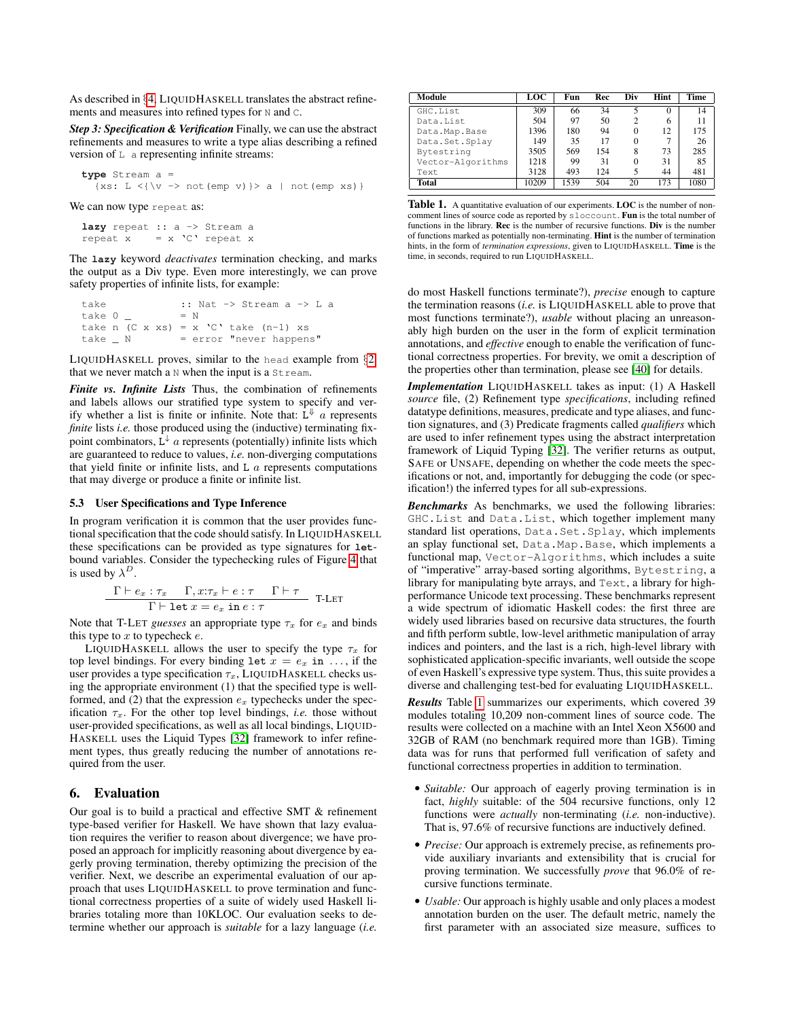As described in §[4,](#page-7-0) LIQUIDHASKELL translates the abstract refinements and measures into refined types for N and C.

*Step 3: Specification & Verification* Finally, we can use the abstract refinements and measures to write a type alias describing a refined version of  $L$  a representing infinite streams:

```
type Stream a =
   \{xs: L < {\varepsilon \varepsilon > not(emp v)} \ge a \mid not(emp xs) \}
```
We can now type repeat as:

```
lazy repeat :: a -> Stream a
repeat x = x 'C' repeat x
```
The **lazy** keyword *deactivates* termination checking, and marks the output as a Div type. Even more interestingly, we can prove safety properties of infinite lists, for example:

```
take :: Nat -> Stream a -> L a
\text{take } 0 = N
take n (C \times xs) = x 'C' take (n-1) xstake \_ N \qquad = error \text{ "never happens" }
```
LIQUIDHASKELL proves, similar to the head example from §[2,](#page-0-0) that we never match a  $N$  when the input is a  $St$  ream.

*Finite vs. Infinite Lists* Thus, the combination of refinements and labels allows our stratified type system to specify and verify whether a list is finite or infinite. Note that:  $\hat{L}^{\psi}$  a represents *finite* lists *i.e.* those produced using the (inductive) terminating fixpoint combinators,  $\tilde{L}^{\downarrow}$  a represents (potentially) infinite lists which are guaranteed to reduce to values, *i.e.* non-diverging computations that yield finite or infinite lists, and  $L$   $a$  represents computations that may diverge or produce a finite or infinite list.

#### 5.3 User Specifications and Type Inference

In program verification it is common that the user provides functional specification that the code should satisfy. In LIQUIDHASKELL these specifications can be provided as type signatures for **let**bound variables. Consider the typechecking rules of Figure [4](#page-6-1) that is used by  $\lambda^D$ .

$$
\frac{\Gamma \vdash e_x : \tau_x \quad \Gamma, x : \tau_x \vdash e : \tau \quad \Gamma \vdash \tau}{\Gamma \vdash \texttt{let } x = e_x \texttt{ in } e : \tau} \quad \texttt{T-LET}
$$

Note that T-LET *guesses* an appropriate type  $\tau_x$  for  $e_x$  and binds this type to  $x$  to typecheck  $e$ .

LIQUIDHASKELL allows the user to specify the type  $\tau_x$  for top level bindings. For every binding let  $x = e_x$  in ..., if the user provides a type specification  $\tau_x$ , LIQUIDHASKELL checks using the appropriate environment (1) that the specified type is wellformed, and (2) that the expression  $e_x$  typechecks under the specification  $\tau_x$ . For the other top level bindings, *i.e.* those without user-provided specifications, as well as all local bindings, LIQUID-HASKELL uses the Liquid Types [\[32\]](#page-14-3) framework to infer refinement types, thus greatly reducing the number of annotations required from the user.

# <span id="page-11-0"></span>6. Evaluation

Our goal is to build a practical and effective SMT & refinement type-based verifier for Haskell. We have shown that lazy evaluation requires the verifier to reason about divergence; we have proposed an approach for implicitly reasoning about divergence by eagerly proving termination, thereby optimizing the precision of the verifier. Next, we describe an experimental evaluation of our approach that uses LIQUIDHASKELL to prove termination and functional correctness properties of a suite of widely used Haskell libraries totaling more than 10KLOC. Our evaluation seeks to determine whether our approach is *suitable* for a lazy language (*i.e.*

| Module            | LOC   | Fun  | Rec | Div | Hint | Time |
|-------------------|-------|------|-----|-----|------|------|
| GHC.List          | 309   | 66   | 34  | 5   | 0    | 14   |
| Data.List         | 504   | 97   | 50  | っ   | 6    | 11   |
| Data.Map.Base     | 1396  | 180  | 94  | 0   | 12   | 175  |
| Data.Set.Splay    | 149   | 35   | 17  | 0   | 7    | 26   |
| Bytestring        | 3505  | 569  | 154 | 8   | 73   | 285  |
| Vector-Algorithms | 1218  | 99   | 31  | 0   | 31   | 85   |
| Text              | 3128  | 493  | 124 |     | 44   | 481  |
| <b>Total</b>      | 10209 | 1539 | 504 | 20  | 173  | 1080 |

<span id="page-11-1"></span>Table 1. A quantitative evaluation of our experiments. LOC is the number of noncomment lines of source code as reported by sloccount. Fun is the total number of functions in the library. Rec is the number of recursive functions. Div is the number of functions marked as potentially non-terminating. Hint is the number of termination hints, in the form of *termination expressions*, given to LIQUIDHASKELL. Time is the time, in seconds, required to run LIQUIDHASKELL.

do most Haskell functions terminate?), *precise* enough to capture the termination reasons (*i.e.* is LIQUIDHASKELL able to prove that most functions terminate?), *usable* without placing an unreasonably high burden on the user in the form of explicit termination annotations, and *effective* enough to enable the verification of functional correctness properties. For brevity, we omit a description of the properties other than termination, please see [\[40\]](#page-14-18) for details.

*Implementation* LIQUIDHASKELL takes as input: (1) A Haskell *source* file, (2) Refinement type *specifications*, including refined datatype definitions, measures, predicate and type aliases, and function signatures, and (3) Predicate fragments called *qualifiers* which are used to infer refinement types using the abstract interpretation framework of Liquid Typing [\[32\]](#page-14-3). The verifier returns as output, SAFE or UNSAFE, depending on whether the code meets the specifications or not, and, importantly for debugging the code (or specification!) the inferred types for all sub-expressions.

*Benchmarks* As benchmarks, we used the following libraries: GHC.List and Data.List, which together implement many standard list operations, Data.Set.Splay, which implements an splay functional set, Data.Map.Base, which implements a functional map, Vector-Algorithms, which includes a suite of "imperative" array-based sorting algorithms, Bytestring, a library for manipulating byte arrays, and Text, a library for highperformance Unicode text processing. These benchmarks represent a wide spectrum of idiomatic Haskell codes: the first three are widely used libraries based on recursive data structures, the fourth and fifth perform subtle, low-level arithmetic manipulation of array indices and pointers, and the last is a rich, high-level library with sophisticated application-specific invariants, well outside the scope of even Haskell's expressive type system. Thus, this suite provides a diverse and challenging test-bed for evaluating LIQUIDHASKELL.

*Results* Table [1](#page-11-1) summarizes our experiments, which covered 39 modules totaling 10,209 non-comment lines of source code. The results were collected on a machine with an Intel Xeon X5600 and 32GB of RAM (no benchmark required more than 1GB). Timing data was for runs that performed full verification of safety and functional correctness properties in addition to termination.

- *Suitable:* Our approach of eagerly proving termination is in fact, *highly* suitable: of the 504 recursive functions, only 12 functions were *actually* non-terminating (*i.e.* non-inductive). That is, 97.6% of recursive functions are inductively defined.
- *Precise:* Our approach is extremely precise, as refinements provide auxiliary invariants and extensibility that is crucial for proving termination. We successfully *prove* that 96.0% of recursive functions terminate.
- *Usable:* Our approach is highly usable and only places a modest annotation burden on the user. The default metric, namely the first parameter with an associated size measure, suffices to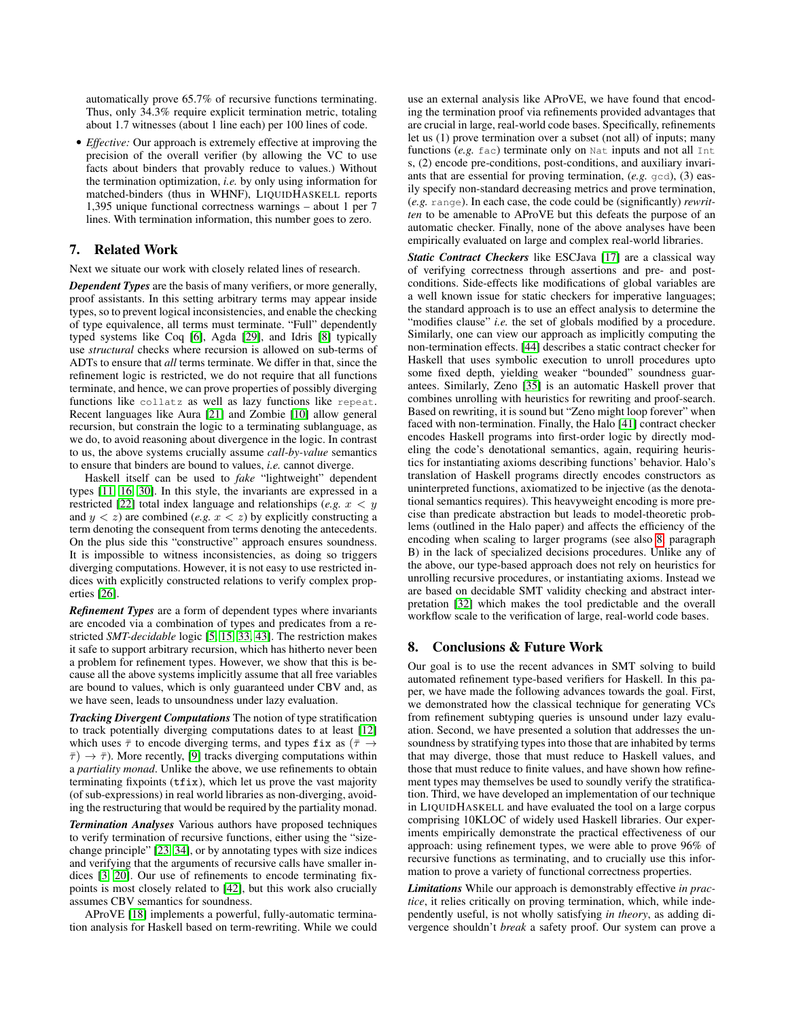automatically prove 65.7% of recursive functions terminating. Thus, only 34.3% require explicit termination metric, totaling about 1.7 witnesses (about 1 line each) per 100 lines of code.

• *Effective:* Our approach is extremely effective at improving the precision of the overall verifier (by allowing the VC to use facts about binders that provably reduce to values.) Without the termination optimization, *i.e.* by only using information for matched-binders (thus in WHNF), LIQUIDHASKELL reports 1,395 unique functional correctness warnings – about 1 per 7 lines. With termination information, this number goes to zero.

# 7. Related Work

Next we situate our work with closely related lines of research.

*Dependent Types* are the basis of many verifiers, or more generally, proof assistants. In this setting arbitrary terms may appear inside types, so to prevent logical inconsistencies, and enable the checking of type equivalence, all terms must terminate. "Full" dependently typed systems like Coq [\[6\]](#page-13-4), Agda [\[29\]](#page-14-9), and Idris [\[8\]](#page-13-5) typically use *structural* checks where recursion is allowed on sub-terms of ADTs to ensure that *all* terms terminate. We differ in that, since the refinement logic is restricted, we do not require that all functions terminate, and hence, we can prove properties of possibly diverging functions like collatz as well as lazy functions like repeat. Recent languages like Aura [\[21\]](#page-14-19) and Zombie [\[10\]](#page-13-10) allow general recursion, but constrain the logic to a terminating sublanguage, as we do, to avoid reasoning about divergence in the logic. In contrast to us, the above systems crucially assume *call-by-value* semantics to ensure that binders are bound to values, *i.e.* cannot diverge.

Haskell itself can be used to *fake* "lightweight" dependent types [\[11,](#page-13-11) [16,](#page-14-20) [30\]](#page-14-21). In this style, the invariants are expressed in a restricted [\[22\]](#page-14-22) total index language and relationships (*e.g.*  $x < y$ and  $y < z$ ) are combined (*e.g.*  $x < z$ ) by explicitly constructing a term denoting the consequent from terms denoting the antecedents. On the plus side this "constructive" approach ensures soundness. It is impossible to witness inconsistencies, as doing so triggers diverging computations. However, it is not easy to use restricted indices with explicitly constructed relations to verify complex properties [\[26\]](#page-14-23).

*Refinement Types* are a form of dependent types where invariants are encoded via a combination of types and predicates from a restricted *SMT-decidable* logic [\[5,](#page-13-0) [15,](#page-13-6) [33,](#page-14-0) [43\]](#page-14-1). The restriction makes it safe to support arbitrary recursion, which has hitherto never been a problem for refinement types. However, we show that this is because all the above systems implicitly assume that all free variables are bound to values, which is only guaranteed under CBV and, as we have seen, leads to unsoundness under lazy evaluation.

*Tracking Divergent Computations* The notion of type stratification to track potentially diverging computations dates to at least [\[12\]](#page-13-1) which uses  $\bar{\tau}$  to encode diverging terms, and types fix as ( $\bar{\tau} \rightarrow$  $\bar{\tau}$ )  $\rightarrow \bar{\tau}$ ). More recently, [\[9\]](#page-13-12) tracks diverging computations within a *partiality monad*. Unlike the above, we use refinements to obtain terminating fixpoints (tfix), which let us prove the vast majority (of sub-expressions) in real world libraries as non-diverging, avoiding the restructuring that would be required by the partiality monad.

*Termination Analyses* Various authors have proposed techniques to verify termination of recursive functions, either using the "sizechange principle" [\[23,](#page-14-24) [34\]](#page-14-25), or by annotating types with size indices and verifying that the arguments of recursive calls have smaller indices [\[3,](#page-13-13) [20\]](#page-14-11). Our use of refinements to encode terminating fixpoints is most closely related to [\[42\]](#page-14-12), but this work also crucially assumes CBV semantics for soundness.

AProVE [\[18\]](#page-14-16) implements a powerful, fully-automatic termination analysis for Haskell based on term-rewriting. While we could use an external analysis like AProVE, we have found that encoding the termination proof via refinements provided advantages that are crucial in large, real-world code bases. Specifically, refinements let us (1) prove termination over a subset (not all) of inputs; many functions  $(e.g. \text{fac})$  terminate only on Nat inputs and not all Int s, (2) encode pre-conditions, post-conditions, and auxiliary invariants that are essential for proving termination, (*e.g.* gcd), (3) easily specify non-standard decreasing metrics and prove termination, (*e.g.* range). In each case, the code could be (significantly) *rewritten* to be amenable to AProVE but this defeats the purpose of an automatic checker. Finally, none of the above analyses have been empirically evaluated on large and complex real-world libraries.

*Static Contract Checkers* like ESCJava [\[17\]](#page-14-2) are a classical way of verifying correctness through assertions and pre- and postconditions. Side-effects like modifications of global variables are a well known issue for static checkers for imperative languages; the standard approach is to use an effect analysis to determine the "modifies clause" *i.e.* the set of globals modified by a procedure. Similarly, one can view our approach as implicitly computing the non-termination effects. [\[44\]](#page-14-26) describes a static contract checker for Haskell that uses symbolic execution to unroll procedures upto some fixed depth, yielding weaker "bounded" soundness guarantees. Similarly, Zeno [\[35\]](#page-14-27) is an automatic Haskell prover that combines unrolling with heuristics for rewriting and proof-search. Based on rewriting, it is sound but "Zeno might loop forever" when faced with non-termination. Finally, the Halo [\[41\]](#page-14-28) contract checker encodes Haskell programs into first-order logic by directly modeling the code's denotational semantics, again, requiring heuristics for instantiating axioms describing functions' behavior. Halo's translation of Haskell programs directly encodes constructors as uninterpreted functions, axiomatized to be injective (as the denotational semantics requires). This heavyweight encoding is more precise than predicate abstraction but leads to model-theoretic problems (outlined in the Halo paper) and affects the efficiency of the encoding when scaling to larger programs (see also [8,](#page-12-0) paragraph B) in the lack of specialized decisions procedures. Unlike any of the above, our type-based approach does not rely on heuristics for unrolling recursive procedures, or instantiating axioms. Instead we are based on decidable SMT validity checking and abstract interpretation [\[32\]](#page-14-3) which makes the tool predictable and the overall workflow scale to the verification of large, real-world code bases.

# <span id="page-12-0"></span>8. Conclusions & Future Work

Our goal is to use the recent advances in SMT solving to build automated refinement type-based verifiers for Haskell. In this paper, we have made the following advances towards the goal. First, we demonstrated how the classical technique for generating VCs from refinement subtyping queries is unsound under lazy evaluation. Second, we have presented a solution that addresses the unsoundness by stratifying types into those that are inhabited by terms that may diverge, those that must reduce to Haskell values, and those that must reduce to finite values, and have shown how refinement types may themselves be used to soundly verify the stratification. Third, we have developed an implementation of our technique in LIQUIDHASKELL and have evaluated the tool on a large corpus comprising 10KLOC of widely used Haskell libraries. Our experiments empirically demonstrate the practical effectiveness of our approach: using refinement types, we were able to prove 96% of recursive functions as terminating, and to crucially use this information to prove a variety of functional correctness properties.

*Limitations* While our approach is demonstrably effective *in practice*, it relies critically on proving termination, which, while independently useful, is not wholly satisfying *in theory*, as adding divergence shouldn't *break* a safety proof. Our system can prove a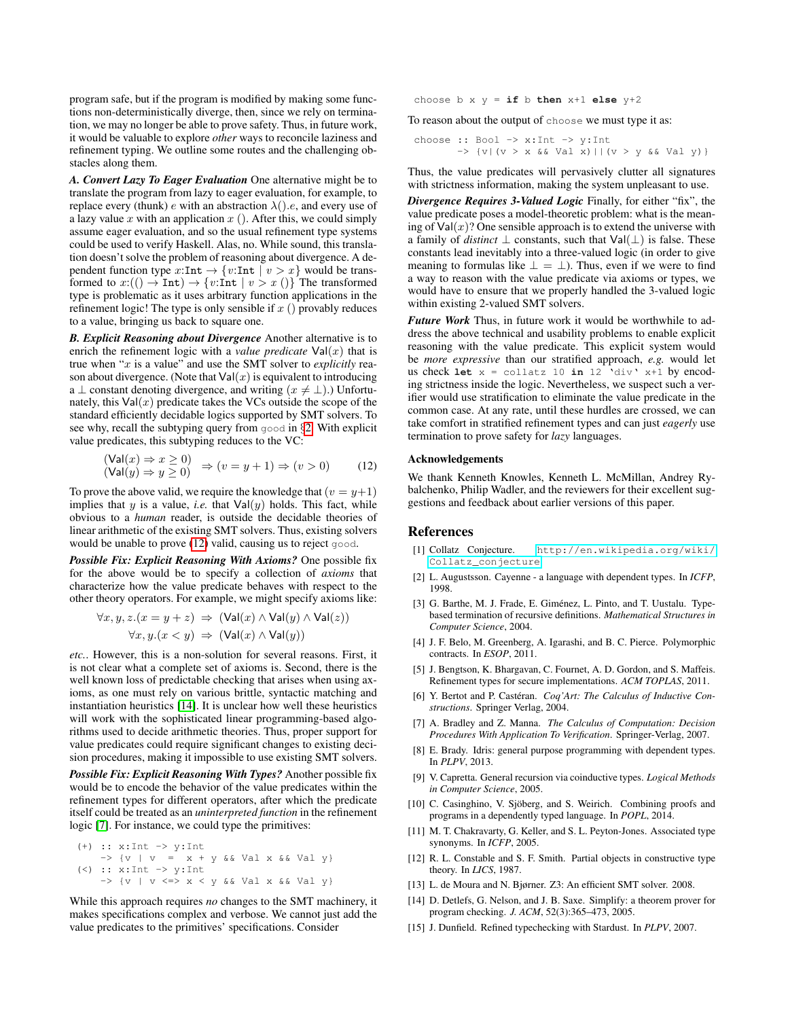program safe, but if the program is modified by making some functions non-deterministically diverge, then, since we rely on termination, we may no longer be able to prove safety. Thus, in future work, it would be valuable to explore *other* ways to reconcile laziness and refinement typing. We outline some routes and the challenging obstacles along them.

*A. Convert Lazy To Eager Evaluation* One alternative might be to translate the program from lazy to eager evaluation, for example, to replace every (thunk) e with an abstraction  $\lambda$ ().e, and every use of a lazy value  $x$  with an application  $x$  (). After this, we could simply assume eager evaluation, and so the usual refinement type systems could be used to verify Haskell. Alas, no. While sound, this translation doesn't solve the problem of reasoning about divergence. A dependent function type  $x:\text{Int} \to \{v:\text{Int} \mid v > x\}$  would be transformed to  $x: (() \to \text{Int}) \to \{v: \text{Int} \mid v > x() \}$  The transformed type is problematic as it uses arbitrary function applications in the refinement logic! The type is only sensible if  $x$  () provably reduces to a value, bringing us back to square one.

*B. Explicit Reasoning about Divergence* Another alternative is to enrich the refinement logic with a *value predicate*  $Val(x)$  that is true when "x is a value" and use the SMT solver to *explicitly* reason about divergence. (Note that  $Val(x)$  is equivalent to introducing a  $\perp$  constant denoting divergence, and writing  $(x \neq \perp)$ .) Unfortunately, this  $Val(x)$  predicate takes the VCs outside the scope of the standard efficiently decidable logics supported by SMT solvers. To see why, recall the subtyping query from good in §[2.](#page-0-0) With explicit value predicates, this subtyping reduces to the VC:

$$
\begin{array}{c}\n(\mathsf{Val}(x) \Rightarrow x \ge 0) \\
(\mathsf{Val}(y) \Rightarrow y \ge 0)\n\end{array} \Rightarrow (v = y + 1) \Rightarrow (v > 0)\n\tag{12}
$$

To prove the above valid, we require the knowledge that  $(v = y+1)$ implies that y is a value, *i.e.* that  $Val(y)$  holds. This fact, while obvious to a *human* reader, is outside the decidable theories of linear arithmetic of the existing SMT solvers. Thus, existing solvers would be unable to prove [\(12\)](#page-13-14) valid, causing us to reject good.

*Possible Fix: Explicit Reasoning With Axioms?* One possible fix for the above would be to specify a collection of *axioms* that characterize how the value predicate behaves with respect to the other theory operators. For example, we might specify axioms like:

$$
\forall x, y, z.(x = y + z) \Rightarrow (\text{Val}(x) \land \text{Val}(y) \land \text{Val}(z))
$$

$$
\forall x, y.(x < y) \Rightarrow (\text{Val}(x) \land \text{Val}(y))
$$

*etc.*. However, this is a non-solution for several reasons. First, it is not clear what a complete set of axioms is. Second, there is the well known loss of predictable checking that arises when using axioms, as one must rely on various brittle, syntactic matching and instantiation heuristics [\[14\]](#page-13-9). It is unclear how well these heuristics will work with the sophisticated linear programming-based algorithms used to decide arithmetic theories. Thus, proper support for value predicates could require significant changes to existing decision procedures, making it impossible to use existing SMT solvers.

*Possible Fix: Explicit Reasoning With Types?* Another possible fix would be to encode the behavior of the value predicates within the refinement types for different operators, after which the predicate itself could be treated as an *uninterpreted function* in the refinement logic [\[7\]](#page-13-15). For instance, we could type the primitives:

(+) :: x:Int -> y:Int -> {v | v = x + y && Val x && Val y} (<) :: x:Int -> y:Int -> {v | v <=> x < y && Val x && Val y}

While this approach requires *no* changes to the SMT machinery, it makes specifications complex and verbose. We cannot just add the value predicates to the primitives' specifications. Consider

choose b x y = **if** b **then** x+1 **else** y+2

To reason about the output of choose we must type it as:

$$
\begin{array}{ll}\n\text{choose } :: \text{Bool} \rightarrow x:\text{Int} \rightarrow y:\text{Int} \\
\rightarrow \{v \mid (v > x \land \& \text{ Val } x) \mid | (v > y \land \& \text{ Val } y) \}\n\end{array}
$$

Thus, the value predicates will pervasively clutter all signatures with strictness information, making the system unpleasant to use.

*Divergence Requires 3-Valued Logic* Finally, for either "fix", the value predicate poses a model-theoretic problem: what is the meaning of  $Val(x)$ ? One sensible approach is to extend the universe with a family of *distinct*  $\perp$  constants, such that  $Val(\perp)$  is false. These constants lead inevitably into a three-valued logic (in order to give meaning to formulas like  $\perp = \perp$ ). Thus, even if we were to find a way to reason with the value predicate via axioms or types, we would have to ensure that we properly handled the 3-valued logic within existing 2-valued SMT solvers.

*Future Work* Thus, in future work it would be worthwhile to address the above technical and usability problems to enable explicit reasoning with the value predicate. This explicit system would be *more expressive* than our stratified approach, *e.g.* would let us check  $let x = collatz 10 in 12$  'div'  $x+1$  by encoding strictness inside the logic. Nevertheless, we suspect such a verifier would use stratification to eliminate the value predicate in the common case. At any rate, until these hurdles are crossed, we can take comfort in stratified refinement types and can just *eagerly* use termination to prove safety for *lazy* languages.

# <span id="page-13-14"></span>Acknowledgements

We thank Kenneth Knowles, Kenneth L. McMillan, Andrey Rybalchenko, Philip Wadler, and the reviewers for their excellent suggestions and feedback about earlier versions of this paper.

# References

- <span id="page-13-8"></span>[1] Collatz Conjecture. [http://en.wikipedia.org/wiki/](http://en.wikipedia.org/wiki/Collatz_conjecture) [Collatz\\_conjecture](http://en.wikipedia.org/wiki/Collatz_conjecture).
- <span id="page-13-3"></span>[2] L. Augustsson. Cayenne - a language with dependent types. In *ICFP*, 1998.
- <span id="page-13-13"></span>[3] G. Barthe, M. J. Frade, E. Giménez, L. Pinto, and T. Uustalu. Typebased termination of recursive definitions. *Mathematical Structures in Computer Science*, 2004.
- <span id="page-13-7"></span>[4] J. F. Belo, M. Greenberg, A. Igarashi, and B. C. Pierce. Polymorphic contracts. In *ESOP*, 2011.
- <span id="page-13-0"></span>[5] J. Bengtson, K. Bhargavan, C. Fournet, A. D. Gordon, and S. Maffeis. Refinement types for secure implementations. *ACM TOPLAS*, 2011.
- <span id="page-13-4"></span>[6] Y. Bertot and P. Castéran. *Coq'Art: The Calculus of Inductive Constructions*. Springer Verlag, 2004.
- <span id="page-13-15"></span>[7] A. Bradley and Z. Manna. *The Calculus of Computation: Decision Procedures With Application To Verification*. Springer-Verlag, 2007.
- <span id="page-13-5"></span>[8] E. Brady. Idris: general purpose programming with dependent types. In *PLPV*, 2013.
- <span id="page-13-12"></span>[9] V. Capretta. General recursion via coinductive types. *Logical Methods in Computer Science*, 2005.
- <span id="page-13-10"></span>[10] C. Casinghino, V. Sjöberg, and S. Weirich. Combining proofs and programs in a dependently typed language. In *POPL*, 2014.
- <span id="page-13-11"></span>[11] M. T. Chakravarty, G. Keller, and S. L. Peyton-Jones. Associated type synonyms. In *ICFP*, 2005.
- <span id="page-13-1"></span>[12] R. L. Constable and S. F. Smith. Partial objects in constructive type theory. In *LICS*, 1987.
- <span id="page-13-2"></span>[13] L. de Moura and N. Bjørner. Z3: An efficient SMT solver. 2008.
- <span id="page-13-9"></span>[14] D. Detlefs, G. Nelson, and J. B. Saxe. Simplify: a theorem prover for program checking. *J. ACM*, 52(3):365–473, 2005.
- <span id="page-13-6"></span>[15] J. Dunfield. Refined typechecking with Stardust. In *PLPV*, 2007.